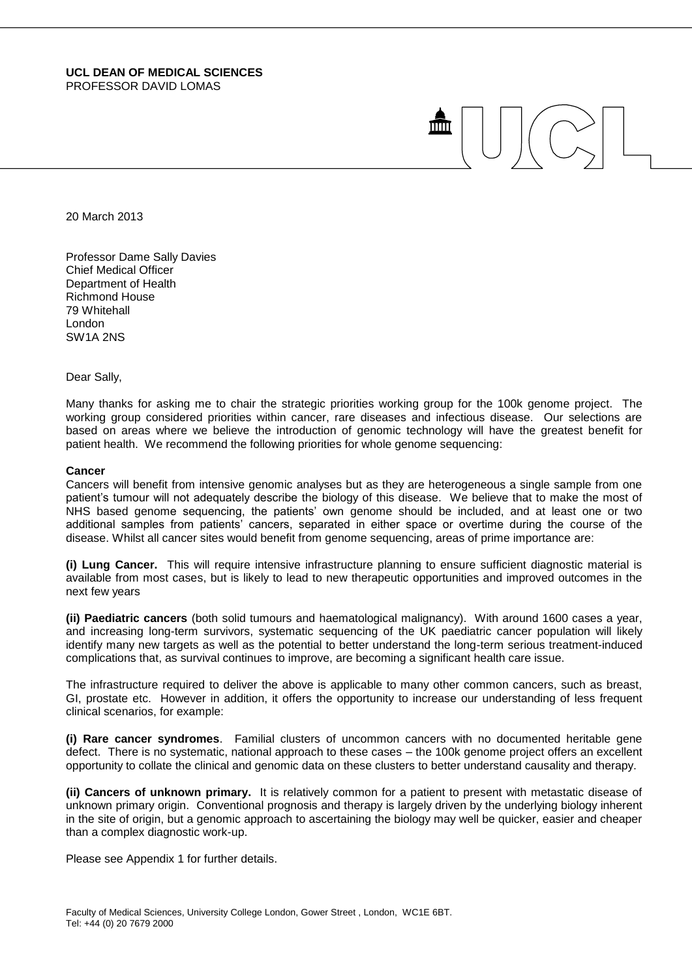20 March 2013

Professor Dame Sally Davies Chief Medical Officer Department of Health Richmond House 79 Whitehall London SW1A 2NS

Dear Sally,

Many thanks for asking me to chair the strategic priorities working group for the 100k genome project. The working group considered priorities within cancer, rare diseases and infectious disease. Our selections are based on areas where we believe the introduction of genomic technology will have the greatest benefit for patient health. We recommend the following priorities for whole genome sequencing:

m

#### **Cancer**

Cancers will benefit from intensive genomic analyses but as they are heterogeneous a single sample from one patient's tumour will not adequately describe the biology of this disease. We believe that to make the most of NHS based genome sequencing, the patients' own genome should be included, and at least one or two additional samples from patients' cancers, separated in either space or overtime during the course of the disease. Whilst all cancer sites would benefit from genome sequencing, areas of prime importance are:

**(i) Lung Cancer.** This will require intensive infrastructure planning to ensure sufficient diagnostic material is available from most cases, but is likely to lead to new therapeutic opportunities and improved outcomes in the next few years

**(ii) Paediatric cancers** (both solid tumours and haematological malignancy). With around 1600 cases a year, and increasing long-term survivors, systematic sequencing of the UK paediatric cancer population will likely identify many new targets as well as the potential to better understand the long-term serious treatment-induced complications that, as survival continues to improve, are becoming a significant health care issue.

The infrastructure required to deliver the above is applicable to many other common cancers, such as breast, GI, prostate etc. However in addition, it offers the opportunity to increase our understanding of less frequent clinical scenarios, for example:

**(i) Rare cancer syndromes**. Familial clusters of uncommon cancers with no documented heritable gene defect. There is no systematic, national approach to these cases – the 100k genome project offers an excellent opportunity to collate the clinical and genomic data on these clusters to better understand causality and therapy.

**(ii) Cancers of unknown primary.** It is relatively common for a patient to present with metastatic disease of unknown primary origin. Conventional prognosis and therapy is largely driven by the underlying biology inherent in the site of origin, but a genomic approach to ascertaining the biology may well be quicker, easier and cheaper than a complex diagnostic work-up.

Please see Appendix 1 for further details.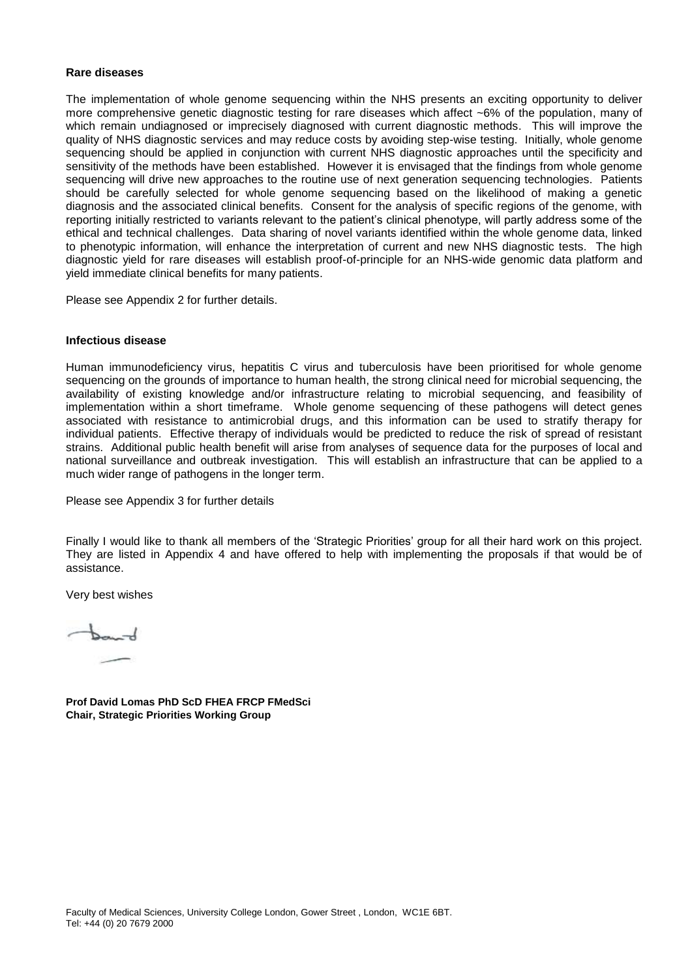# **Rare diseases**

The implementation of whole genome sequencing within the NHS presents an exciting opportunity to deliver more comprehensive genetic diagnostic testing for rare diseases which affect ~6% of the population, many of which remain undiagnosed or imprecisely diagnosed with current diagnostic methods. This will improve the quality of NHS diagnostic services and may reduce costs by avoiding step-wise testing. Initially, whole genome sequencing should be applied in conjunction with current NHS diagnostic approaches until the specificity and sensitivity of the methods have been established. However it is envisaged that the findings from whole genome sequencing will drive new approaches to the routine use of next generation sequencing technologies. Patients should be carefully selected for whole genome sequencing based on the likelihood of making a genetic diagnosis and the associated clinical benefits. Consent for the analysis of specific regions of the genome, with reporting initially restricted to variants relevant to the patient's clinical phenotype, will partly address some of the ethical and technical challenges. Data sharing of novel variants identified within the whole genome data, linked to phenotypic information, will enhance the interpretation of current and new NHS diagnostic tests. The high diagnostic yield for rare diseases will establish proof-of-principle for an NHS-wide genomic data platform and yield immediate clinical benefits for many patients.

Please see Appendix 2 for further details.

#### **Infectious disease**

Human immunodeficiency virus, hepatitis C virus and tuberculosis have been prioritised for whole genome sequencing on the grounds of importance to human health, the strong clinical need for microbial sequencing, the availability of existing knowledge and/or infrastructure relating to microbial sequencing, and feasibility of implementation within a short timeframe. Whole genome sequencing of these pathogens will detect genes associated with resistance to antimicrobial drugs, and this information can be used to stratify therapy for individual patients. Effective therapy of individuals would be predicted to reduce the risk of spread of resistant strains. Additional public health benefit will arise from analyses of sequence data for the purposes of local and national surveillance and outbreak investigation. This will establish an infrastructure that can be applied to a much wider range of pathogens in the longer term.

Please see Appendix 3 for further details

Finally I would like to thank all members of the 'Strategic Priorities' group for all their hard work on this project. They are listed in Appendix 4 and have offered to help with implementing the proposals if that would be of assistance.

Very best wishes

 $+$ 

**Prof David Lomas PhD ScD FHEA FRCP FMedSci Chair, Strategic Priorities Working Group**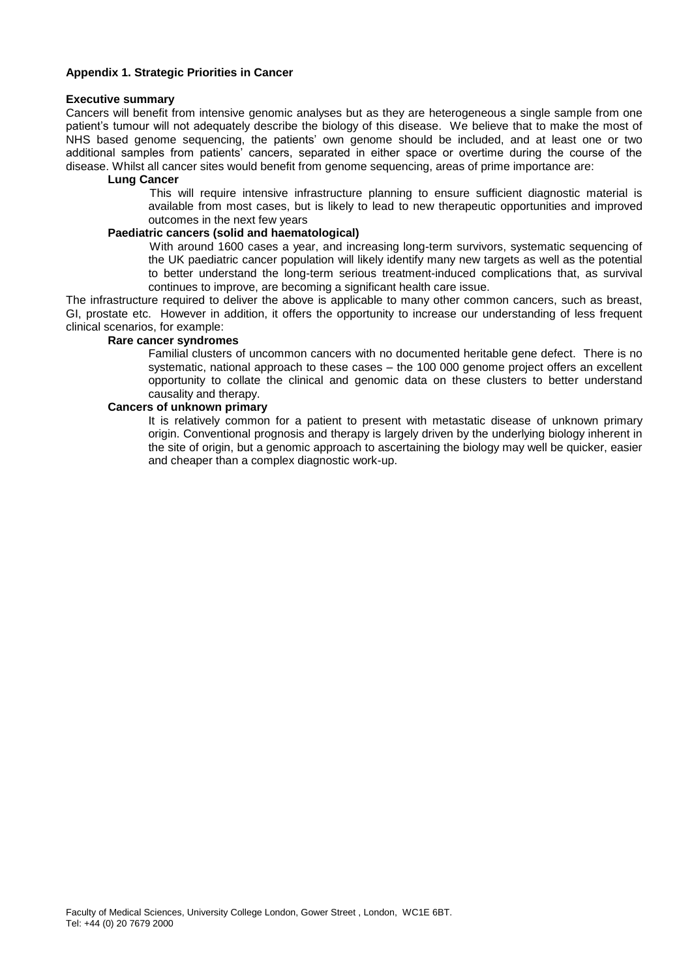# **Appendix 1. Strategic Priorities in Cancer**

#### **Executive summary**

Cancers will benefit from intensive genomic analyses but as they are heterogeneous a single sample from one patient's tumour will not adequately describe the biology of this disease. We believe that to make the most of NHS based genome sequencing, the patients' own genome should be included, and at least one or two additional samples from patients' cancers, separated in either space or overtime during the course of the disease. Whilst all cancer sites would benefit from genome sequencing, areas of prime importance are:

# **Lung Cancer**

This will require intensive infrastructure planning to ensure sufficient diagnostic material is available from most cases, but is likely to lead to new therapeutic opportunities and improved outcomes in the next few years

## **Paediatric cancers (solid and haematological)**

With around 1600 cases a year, and increasing long-term survivors, systematic sequencing of the UK paediatric cancer population will likely identify many new targets as well as the potential to better understand the long-term serious treatment-induced complications that, as survival continues to improve, are becoming a significant health care issue.

The infrastructure required to deliver the above is applicable to many other common cancers, such as breast, GI, prostate etc. However in addition, it offers the opportunity to increase our understanding of less frequent clinical scenarios, for example:

# **Rare cancer syndromes**

Familial clusters of uncommon cancers with no documented heritable gene defect. There is no systematic, national approach to these cases – the 100 000 genome project offers an excellent opportunity to collate the clinical and genomic data on these clusters to better understand causality and therapy.

#### **Cancers of unknown primary**

It is relatively common for a patient to present with metastatic disease of unknown primary origin. Conventional prognosis and therapy is largely driven by the underlying biology inherent in the site of origin, but a genomic approach to ascertaining the biology may well be quicker, easier and cheaper than a complex diagnostic work-up.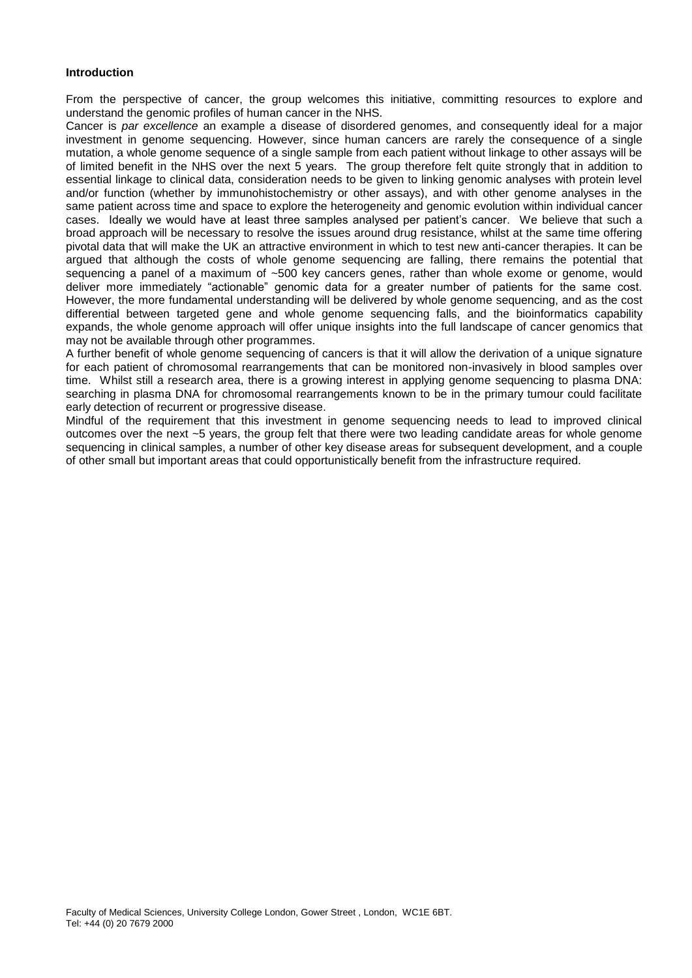## **Introduction**

From the perspective of cancer, the group welcomes this initiative, committing resources to explore and understand the genomic profiles of human cancer in the NHS.

Cancer is *par excellence* an example a disease of disordered genomes, and consequently ideal for a major investment in genome sequencing. However, since human cancers are rarely the consequence of a single mutation, a whole genome sequence of a single sample from each patient without linkage to other assays will be of limited benefit in the NHS over the next 5 years. The group therefore felt quite strongly that in addition to essential linkage to clinical data, consideration needs to be given to linking genomic analyses with protein level and/or function (whether by immunohistochemistry or other assays), and with other genome analyses in the same patient across time and space to explore the heterogeneity and genomic evolution within individual cancer cases. Ideally we would have at least three samples analysed per patient's cancer. We believe that such a broad approach will be necessary to resolve the issues around drug resistance, whilst at the same time offering pivotal data that will make the UK an attractive environment in which to test new anti-cancer therapies. It can be argued that although the costs of whole genome sequencing are falling, there remains the potential that sequencing a panel of a maximum of ~500 key cancers genes, rather than whole exome or genome, would deliver more immediately "actionable" genomic data for a greater number of patients for the same cost. However, the more fundamental understanding will be delivered by whole genome sequencing, and as the cost differential between targeted gene and whole genome sequencing falls, and the bioinformatics capability expands, the whole genome approach will offer unique insights into the full landscape of cancer genomics that may not be available through other programmes.

A further benefit of whole genome sequencing of cancers is that it will allow the derivation of a unique signature for each patient of chromosomal rearrangements that can be monitored non-invasively in blood samples over time. Whilst still a research area, there is a growing interest in applying genome sequencing to plasma DNA: searching in plasma DNA for chromosomal rearrangements known to be in the primary tumour could facilitate early detection of recurrent or progressive disease.

Mindful of the requirement that this investment in genome sequencing needs to lead to improved clinical outcomes over the next ~5 years, the group felt that there were two leading candidate areas for whole genome sequencing in clinical samples, a number of other key disease areas for subsequent development, and a couple of other small but important areas that could opportunistically benefit from the infrastructure required.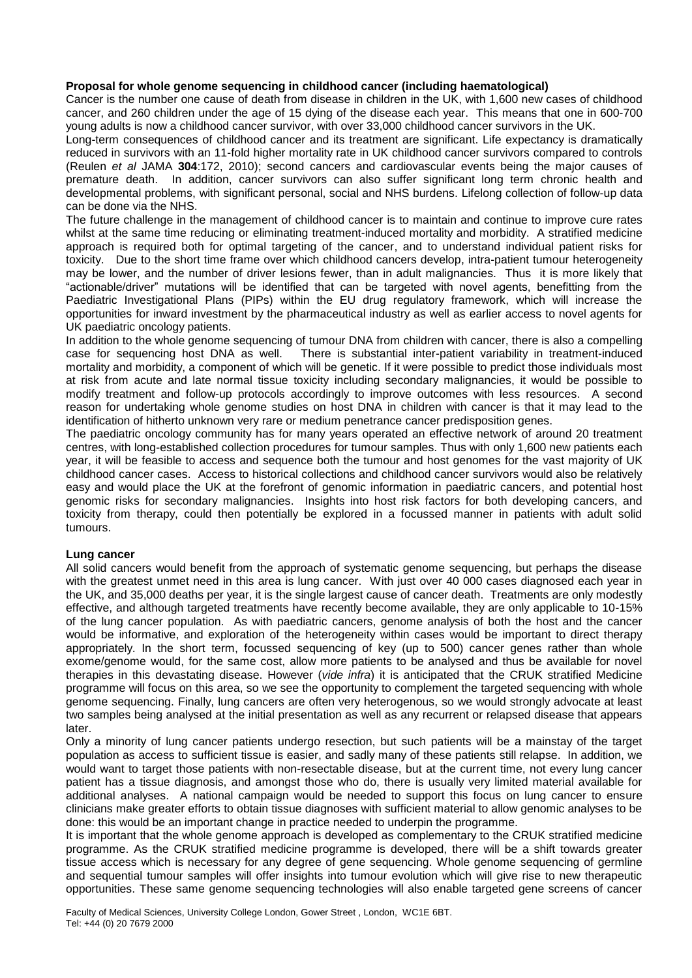# **Proposal for whole genome sequencing in childhood cancer (including haematological)**

Cancer is the number one cause of death from disease in children in the UK, with 1,600 new cases of childhood cancer, and 260 children under the age of 15 dying of the disease each year. This means that one in 600-700 young adults is now a childhood cancer survivor, with over 33,000 childhood cancer survivors in the UK.

Long-term consequences of childhood cancer and its treatment are significant. Life expectancy is dramatically reduced in survivors with an 11-fold higher mortality rate in UK childhood cancer survivors compared to controls (Reulen *et al* JAMA **304**:172, 2010); second cancers and cardiovascular events being the major causes of premature death. In addition, cancer survivors can also suffer significant long term chronic health and developmental problems, with significant personal, social and NHS burdens. Lifelong collection of follow-up data can be done via the NHS.

The future challenge in the management of childhood cancer is to maintain and continue to improve cure rates whilst at the same time reducing or eliminating treatment-induced mortality and morbidity. A stratified medicine approach is required both for optimal targeting of the cancer, and to understand individual patient risks for toxicity. Due to the short time frame over which childhood cancers develop, intra-patient tumour heterogeneity may be lower, and the number of driver lesions fewer, than in adult malignancies. Thus it is more likely that "actionable/driver" mutations will be identified that can be targeted with novel agents, benefitting from the Paediatric Investigational Plans (PIPs) within the EU drug regulatory framework, which will increase the opportunities for inward investment by the pharmaceutical industry as well as earlier access to novel agents for UK paediatric oncology patients.

In addition to the whole genome sequencing of tumour DNA from children with cancer, there is also a compelling case for sequencing host DNA as well. There is substantial inter-patient variability in treatment-induced mortality and morbidity, a component of which will be genetic. If it were possible to predict those individuals most at risk from acute and late normal tissue toxicity including secondary malignancies, it would be possible to modify treatment and follow-up protocols accordingly to improve outcomes with less resources. A second reason for undertaking whole genome studies on host DNA in children with cancer is that it may lead to the identification of hitherto unknown very rare or medium penetrance cancer predisposition genes.

The paediatric oncology community has for many years operated an effective network of around 20 treatment centres, with long-established collection procedures for tumour samples. Thus with only 1,600 new patients each year, it will be feasible to access and sequence both the tumour and host genomes for the vast majority of UK childhood cancer cases. Access to historical collections and childhood cancer survivors would also be relatively easy and would place the UK at the forefront of genomic information in paediatric cancers, and potential host genomic risks for secondary malignancies. Insights into host risk factors for both developing cancers, and toxicity from therapy, could then potentially be explored in a focussed manner in patients with adult solid tumours.

# **Lung cancer**

All solid cancers would benefit from the approach of systematic genome sequencing, but perhaps the disease with the greatest unmet need in this area is lung cancer. With just over 40 000 cases diagnosed each year in the UK, and 35,000 deaths per year, it is the single largest cause of cancer death. Treatments are only modestly effective, and although targeted treatments have recently become available, they are only applicable to 10-15% of the lung cancer population. As with paediatric cancers, genome analysis of both the host and the cancer would be informative, and exploration of the heterogeneity within cases would be important to direct therapy appropriately. In the short term, focussed sequencing of key (up to 500) cancer genes rather than whole exome/genome would, for the same cost, allow more patients to be analysed and thus be available for novel therapies in this devastating disease. However (*vide infra*) it is anticipated that the CRUK stratified Medicine programme will focus on this area, so we see the opportunity to complement the targeted sequencing with whole genome sequencing. Finally, lung cancers are often very heterogenous, so we would strongly advocate at least two samples being analysed at the initial presentation as well as any recurrent or relapsed disease that appears later.

Only a minority of lung cancer patients undergo resection, but such patients will be a mainstay of the target population as access to sufficient tissue is easier, and sadly many of these patients still relapse. In addition, we would want to target those patients with non-resectable disease, but at the current time, not every lung cancer patient has a tissue diagnosis, and amongst those who do, there is usually very limited material available for additional analyses. A national campaign would be needed to support this focus on lung cancer to ensure clinicians make greater efforts to obtain tissue diagnoses with sufficient material to allow genomic analyses to be done: this would be an important change in practice needed to underpin the programme.

It is important that the whole genome approach is developed as complementary to the CRUK stratified medicine programme. As the CRUK stratified medicine programme is developed, there will be a shift towards greater tissue access which is necessary for any degree of gene sequencing. Whole genome sequencing of germline and sequential tumour samples will offer insights into tumour evolution which will give rise to new therapeutic opportunities. These same genome sequencing technologies will also enable targeted gene screens of cancer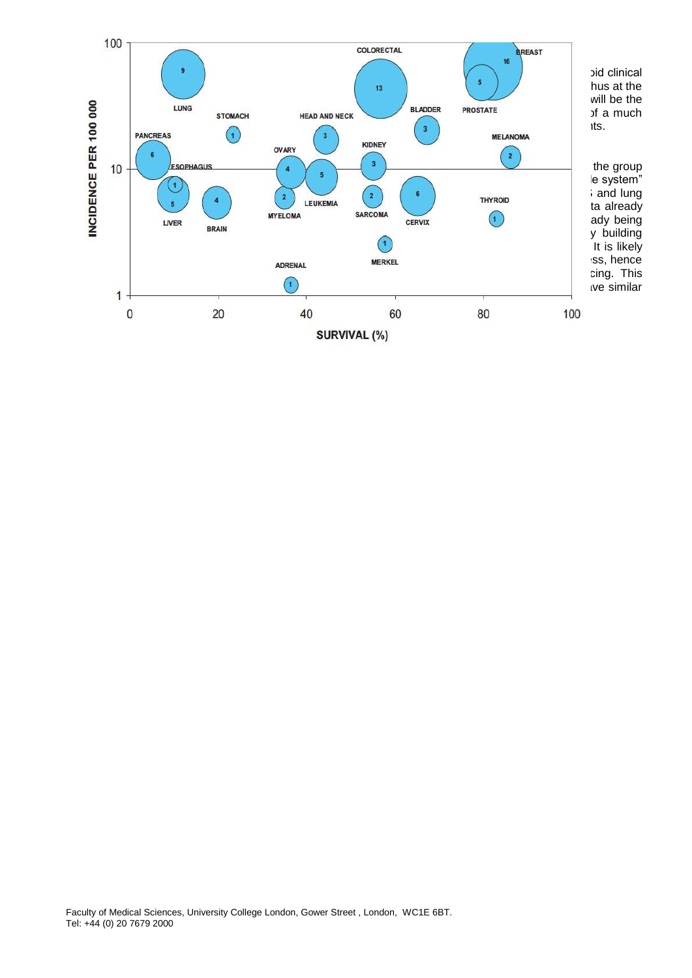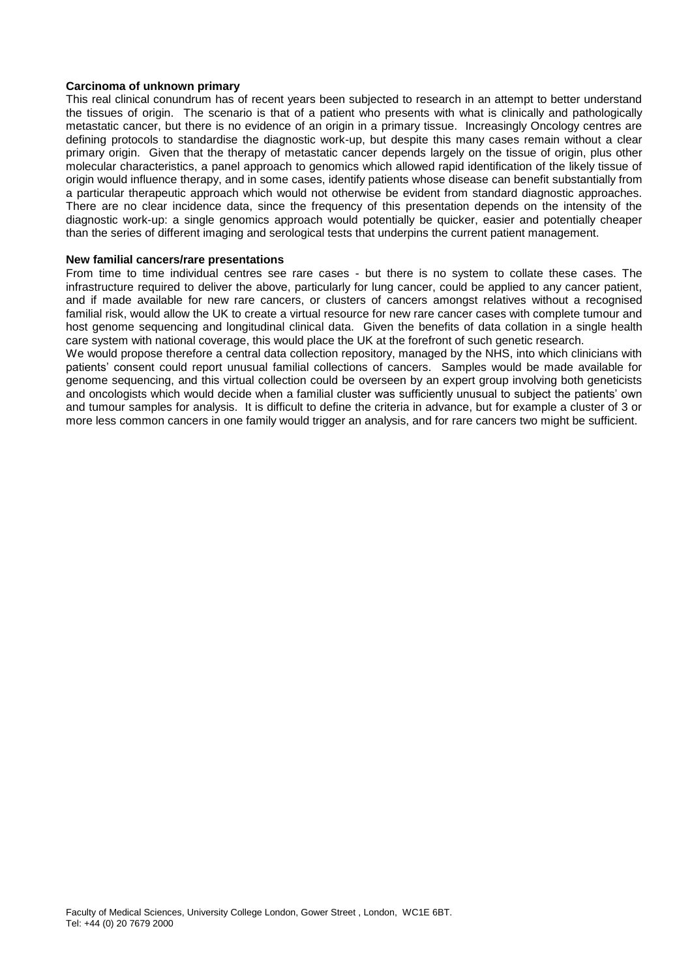### **Carcinoma of unknown primary**

This real clinical conundrum has of recent years been subjected to research in an attempt to better understand the tissues of origin. The scenario is that of a patient who presents with what is clinically and pathologically metastatic cancer, but there is no evidence of an origin in a primary tissue. Increasingly Oncology centres are defining protocols to standardise the diagnostic work-up, but despite this many cases remain without a clear primary origin. Given that the therapy of metastatic cancer depends largely on the tissue of origin, plus other molecular characteristics, a panel approach to genomics which allowed rapid identification of the likely tissue of origin would influence therapy, and in some cases, identify patients whose disease can benefit substantially from a particular therapeutic approach which would not otherwise be evident from standard diagnostic approaches. There are no clear incidence data, since the frequency of this presentation depends on the intensity of the diagnostic work-up: a single genomics approach would potentially be quicker, easier and potentially cheaper than the series of different imaging and serological tests that underpins the current patient management.

#### **New familial cancers/rare presentations**

From time to time individual centres see rare cases - but there is no system to collate these cases. The infrastructure required to deliver the above, particularly for lung cancer, could be applied to any cancer patient, and if made available for new rare cancers, or clusters of cancers amongst relatives without a recognised familial risk, would allow the UK to create a virtual resource for new rare cancer cases with complete tumour and host genome sequencing and longitudinal clinical data. Given the benefits of data collation in a single health care system with national coverage, this would place the UK at the forefront of such genetic research.

We would propose therefore a central data collection repository, managed by the NHS, into which clinicians with patients' consent could report unusual familial collections of cancers. Samples would be made available for genome sequencing, and this virtual collection could be overseen by an expert group involving both geneticists and oncologists which would decide when a familial cluster was sufficiently unusual to subject the patients' own and tumour samples for analysis. It is difficult to define the criteria in advance, but for example a cluster of 3 or more less common cancers in one family would trigger an analysis, and for rare cancers two might be sufficient.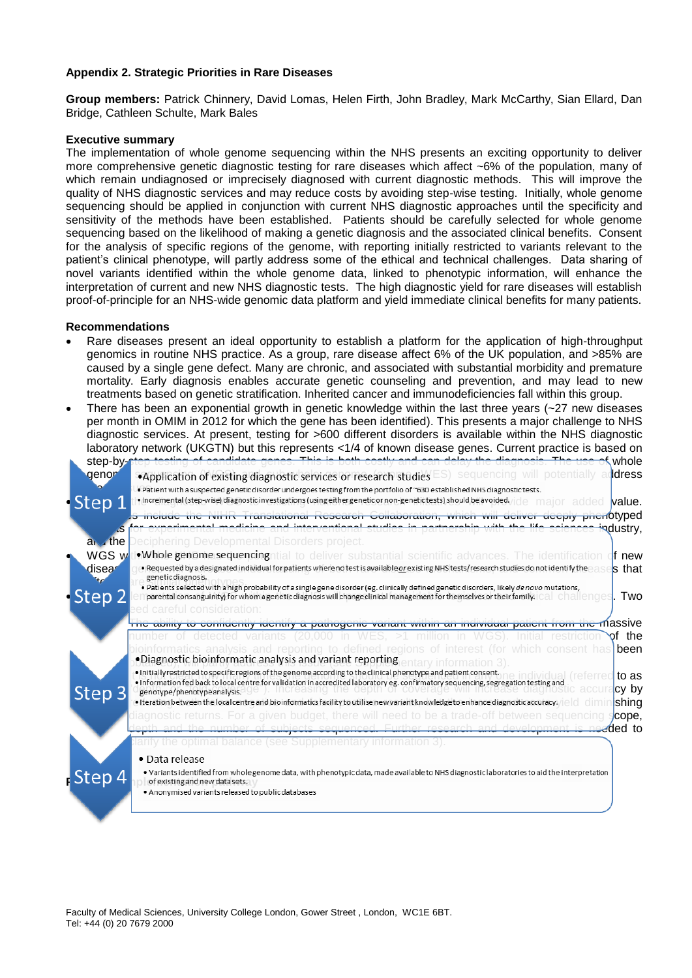## **Appendix 2. Strategic Priorities in Rare Diseases**

**Group members:** Patrick Chinnery, David Lomas, Helen Firth, John Bradley, Mark McCarthy, Sian Ellard, Dan Bridge, Cathleen Schulte, Mark Bales

#### **Executive summary**

The implementation of whole genome sequencing within the NHS presents an exciting opportunity to deliver more comprehensive genetic diagnostic testing for rare diseases which affect ~6% of the population, many of which remain undiagnosed or imprecisely diagnosed with current diagnostic methods. This will improve the quality of NHS diagnostic services and may reduce costs by avoiding step-wise testing. Initially, whole genome sequencing should be applied in conjunction with current NHS diagnostic approaches until the specificity and sensitivity of the methods have been established. Patients should be carefully selected for whole genome sequencing based on the likelihood of making a genetic diagnosis and the associated clinical benefits. Consent for the analysis of specific regions of the genome, with reporting initially restricted to variants relevant to the patient's clinical phenotype, will partly address some of the ethical and technical challenges. Data sharing of novel variants identified within the whole genome data, linked to phenotypic information, will enhance the interpretation of current and new NHS diagnostic tests. The high diagnostic yield for rare diseases will establish proof-of-principle for an NHS-wide genomic data platform and yield immediate clinical benefits for many patients.

#### **Recommendations**

- Rare diseases present an ideal opportunity to establish a platform for the application of high-throughput genomics in routine NHS practice. As a group, rare disease affect 6% of the UK population, and >85% are caused by a single gene defect. Many are chronic, and associated with substantial morbidity and premature mortality. Early diagnosis enables accurate genetic counseling and prevention, and may lead to new treatments based on genetic stratification. Inherited cancer and immunodeficiencies fall within this group.
- There has been an exponential growth in genetic knowledge within the last three years (~27 new diseases per month in OMIM in 2012 for which the gene has been identified). This presents a major challenge to NHS diagnostic services. At present, testing for >600 different disorders is available within the NHS diagnostic laboratory network (UKGTN) but this represents <1/4 of known disease genes. Current practice is based on atom hy atom for the species of whole

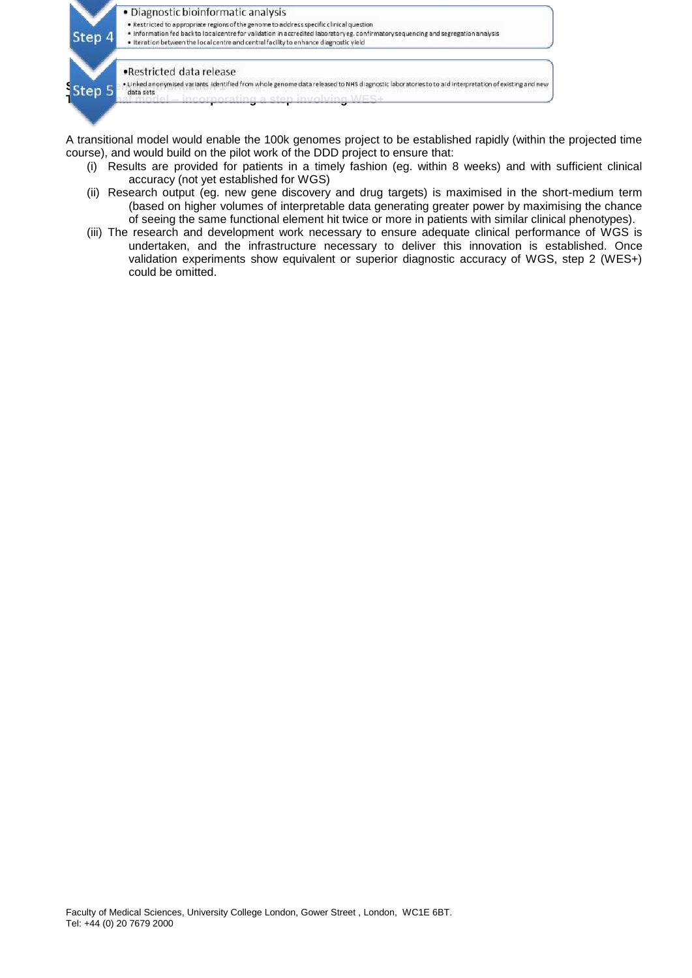

A transitional model would enable the 100k genomes project to be established rapidly (within the projected time course), and would build on the pilot work of the DDD project to ensure that:

- (i) Results are provided for patients in a timely fashion (eg. within 8 weeks) and with sufficient clinical accuracy (not yet established for WGS)
- (ii) Research output (eg. new gene discovery and drug targets) is maximised in the short-medium term (based on higher volumes of interpretable data generating greater power by maximising the chance of seeing the same functional element hit twice or more in patients with similar clinical phenotypes).
- (iii) The research and development work necessary to ensure adequate clinical performance of WGS is undertaken, and the infrastructure necessary to deliver this innovation is established. Once validation experiments show equivalent or superior diagnostic accuracy of WGS, step 2 (WES+) could be omitted.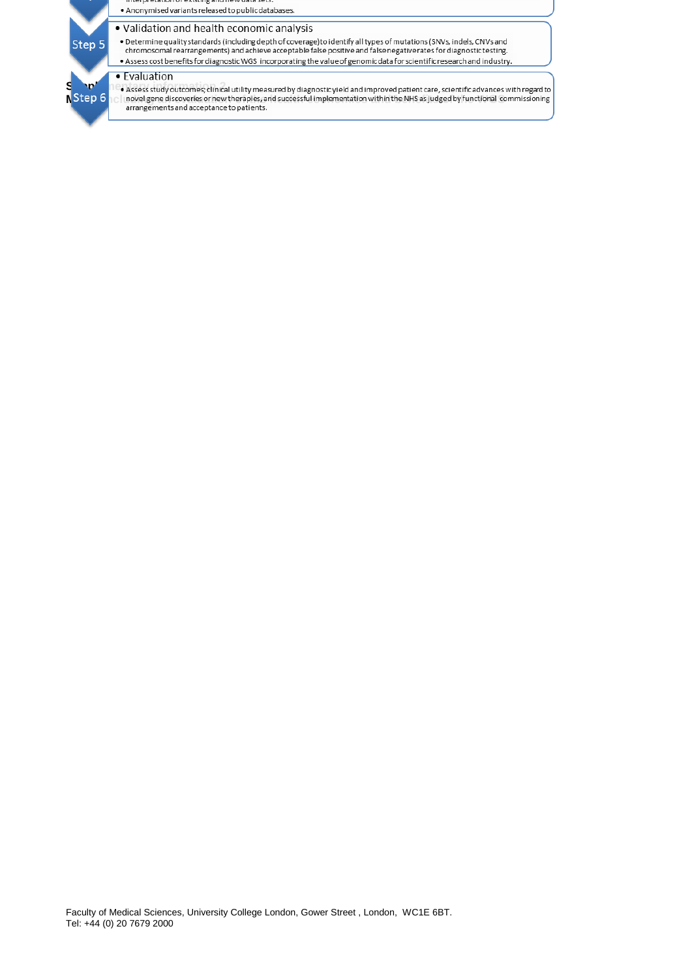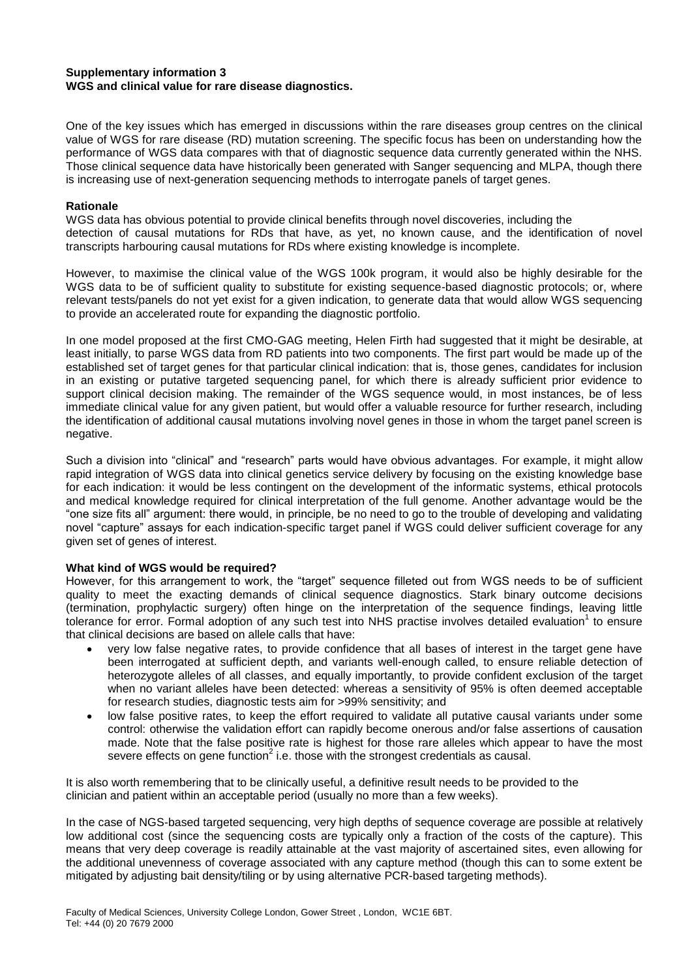# **Supplementary information 3 WGS and clinical value for rare disease diagnostics.**

One of the key issues which has emerged in discussions within the rare diseases group centres on the clinical value of WGS for rare disease (RD) mutation screening. The specific focus has been on understanding how the performance of WGS data compares with that of diagnostic sequence data currently generated within the NHS. Those clinical sequence data have historically been generated with Sanger sequencing and MLPA, though there is increasing use of next-generation sequencing methods to interrogate panels of target genes.

# **Rationale**

WGS data has obvious potential to provide clinical benefits through novel discoveries, including the detection of causal mutations for RDs that have, as yet, no known cause, and the identification of novel transcripts harbouring causal mutations for RDs where existing knowledge is incomplete.

However, to maximise the clinical value of the WGS 100k program, it would also be highly desirable for the WGS data to be of sufficient quality to substitute for existing sequence-based diagnostic protocols; or, where relevant tests/panels do not yet exist for a given indication, to generate data that would allow WGS sequencing to provide an accelerated route for expanding the diagnostic portfolio.

In one model proposed at the first CMO-GAG meeting, Helen Firth had suggested that it might be desirable, at least initially, to parse WGS data from RD patients into two components. The first part would be made up of the established set of target genes for that particular clinical indication: that is, those genes, candidates for inclusion in an existing or putative targeted sequencing panel, for which there is already sufficient prior evidence to support clinical decision making. The remainder of the WGS sequence would, in most instances, be of less immediate clinical value for any given patient, but would offer a valuable resource for further research, including the identification of additional causal mutations involving novel genes in those in whom the target panel screen is negative.

Such a division into "clinical" and "research" parts would have obvious advantages. For example, it might allow rapid integration of WGS data into clinical genetics service delivery by focusing on the existing knowledge base for each indication: it would be less contingent on the development of the informatic systems, ethical protocols and medical knowledge required for clinical interpretation of the full genome. Another advantage would be the "one size fits all" argument: there would, in principle, be no need to go to the trouble of developing and validating novel "capture" assays for each indication-specific target panel if WGS could deliver sufficient coverage for any given set of genes of interest.

# **What kind of WGS would be required?**

However, for this arrangement to work, the "target" sequence filleted out from WGS needs to be of sufficient quality to meet the exacting demands of clinical sequence diagnostics. Stark binary outcome decisions (termination, prophylactic surgery) often hinge on the interpretation of the sequence findings, leaving little tolerance for error. Formal adoption of any such test into NHS practise involves detailed evaluation<sup>1</sup> to ensure that clinical decisions are based on allele calls that have:

- very low false negative rates, to provide confidence that all bases of interest in the target gene have been interrogated at sufficient depth, and variants well-enough called, to ensure reliable detection of heterozygote alleles of all classes, and equally importantly, to provide confident exclusion of the target when no variant alleles have been detected: whereas a sensitivity of 95% is often deemed acceptable for research studies, diagnostic tests aim for >99% sensitivity; and
- low false positive rates, to keep the effort required to validate all putative causal variants under some control: otherwise the validation effort can rapidly become onerous and/or false assertions of causation made. Note that the false positive rate is highest for those rare alleles which appear to have the most severe effects on gene function<sup>2</sup> i.e. those with the strongest credentials as causal.

It is also worth remembering that to be clinically useful, a definitive result needs to be provided to the clinician and patient within an acceptable period (usually no more than a few weeks).

In the case of NGS-based targeted sequencing, very high depths of sequence coverage are possible at relatively low additional cost (since the sequencing costs are typically only a fraction of the costs of the capture). This means that very deep coverage is readily attainable at the vast majority of ascertained sites, even allowing for the additional unevenness of coverage associated with any capture method (though this can to some extent be mitigated by adjusting bait density/tiling or by using alternative PCR-based targeting methods).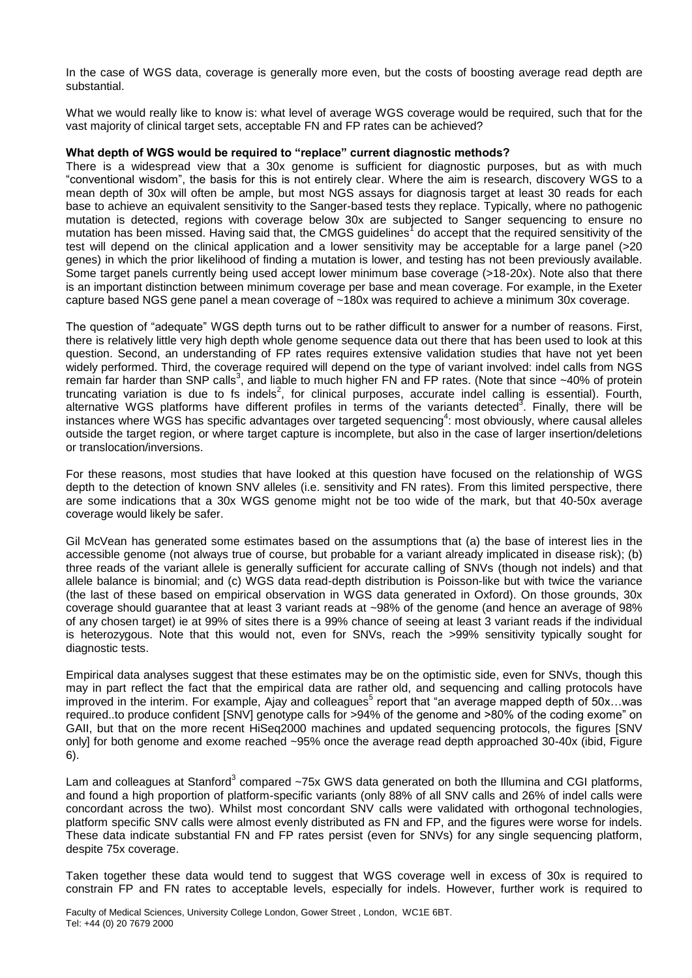In the case of WGS data, coverage is generally more even, but the costs of boosting average read depth are substantial.

What we would really like to know is: what level of average WGS coverage would be required, such that for the vast majority of clinical target sets, acceptable FN and FP rates can be achieved?

# **What depth of WGS would be required to "replace" current diagnostic methods?**

There is a widespread view that a 30x genome is sufficient for diagnostic purposes, but as with much "conventional wisdom", the basis for this is not entirely clear. Where the aim is research, discovery WGS to a mean depth of 30x will often be ample, but most NGS assays for diagnosis target at least 30 reads for each base to achieve an equivalent sensitivity to the Sanger-based tests they replace. Typically, where no pathogenic mutation is detected, regions with coverage below 30x are subjected to Sanger sequencing to ensure no mutation has been missed. Having said that, the CMGS guidelines<sup>1</sup> do accept that the required sensitivity of the test will depend on the clinical application and a lower sensitivity may be acceptable for a large panel (>20 genes) in which the prior likelihood of finding a mutation is lower, and testing has not been previously available. Some target panels currently being used accept lower minimum base coverage (>18-20x). Note also that there is an important distinction between minimum coverage per base and mean coverage. For example, in the Exeter capture based NGS gene panel a mean coverage of ~180x was required to achieve a minimum 30x coverage.

The question of "adequate" WGS depth turns out to be rather difficult to answer for a number of reasons. First, there is relatively little very high depth whole genome sequence data out there that has been used to look at this question. Second, an understanding of FP rates requires extensive validation studies that have not yet been widely performed. Third, the coverage required will depend on the type of variant involved: indel calls from NGS remain far harder than SNP calls<sup>3</sup>, and liable to much higher FN and FP rates. (Note that since ~40% of protein truncating variation is due to fs indels<sup>2</sup>, for clinical purposes, accurate indel calling is essential). Fourth, alternative WGS platforms have different profiles in terms of the variants detected<sup>3</sup>. Finally, there will be instances where WGS has specific advantages over targeted sequencing<sup>4</sup>: most obviously, where causal alleles outside the target region, or where target capture is incomplete, but also in the case of larger insertion/deletions or translocation/inversions.

For these reasons, most studies that have looked at this question have focused on the relationship of WGS depth to the detection of known SNV alleles (i.e. sensitivity and FN rates). From this limited perspective, there are some indications that a 30x WGS genome might not be too wide of the mark, but that 40-50x average coverage would likely be safer.

Gil McVean has generated some estimates based on the assumptions that (a) the base of interest lies in the accessible genome (not always true of course, but probable for a variant already implicated in disease risk); (b) three reads of the variant allele is generally sufficient for accurate calling of SNVs (though not indels) and that allele balance is binomial; and (c) WGS data read-depth distribution is Poisson-like but with twice the variance (the last of these based on empirical observation in WGS data generated in Oxford). On those grounds, 30x coverage should guarantee that at least 3 variant reads at ~98% of the genome (and hence an average of 98% of any chosen target) ie at 99% of sites there is a 99% chance of seeing at least 3 variant reads if the individual is heterozygous. Note that this would not, even for SNVs, reach the >99% sensitivity typically sought for diagnostic tests.

Empirical data analyses suggest that these estimates may be on the optimistic side, even for SNVs, though this may in part reflect the fact that the empirical data are rather old, and sequencing and calling protocols have improved in the interim. For example, Ajay and colleagues<sup>5</sup> report that "an average mapped depth of 50x...was required..to produce confident [SNV] genotype calls for >94% of the genome and >80% of the coding exome" on GAII, but that on the more recent HiSeq2000 machines and updated sequencing protocols, the figures [SNV only] for both genome and exome reached ~95% once the average read depth approached 30-40x (ibid, Figure 6).

Lam and colleagues at Stanford<sup>3</sup> compared ~75x GWS data generated on both the Illumina and CGI platforms, and found a high proportion of platform-specific variants (only 88% of all SNV calls and 26% of indel calls were concordant across the two). Whilst most concordant SNV calls were validated with orthogonal technologies, platform specific SNV calls were almost evenly distributed as FN and FP, and the figures were worse for indels. These data indicate substantial FN and FP rates persist (even for SNVs) for any single sequencing platform, despite 75x coverage.

Taken together these data would tend to suggest that WGS coverage well in excess of 30x is required to constrain FP and FN rates to acceptable levels, especially for indels. However, further work is required to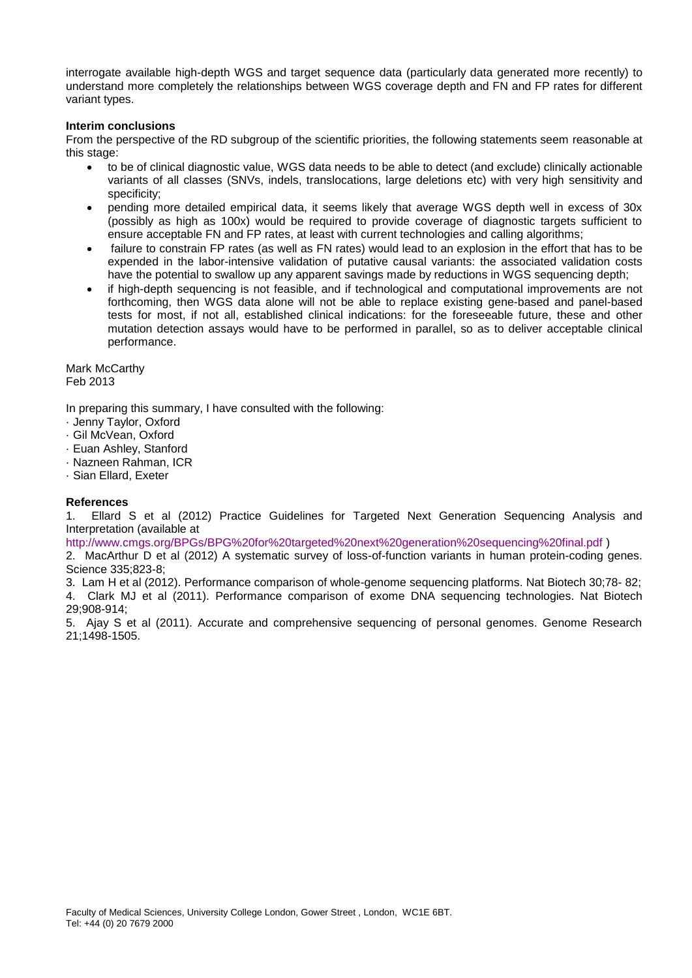interrogate available high-depth WGS and target sequence data (particularly data generated more recently) to understand more completely the relationships between WGS coverage depth and FN and FP rates for different variant types.

### **Interim conclusions**

From the perspective of the RD subgroup of the scientific priorities, the following statements seem reasonable at this stage:

- to be of clinical diagnostic value, WGS data needs to be able to detect (and exclude) clinically actionable variants of all classes (SNVs, indels, translocations, large deletions etc) with very high sensitivity and specificity;
- pending more detailed empirical data, it seems likely that average WGS depth well in excess of 30x (possibly as high as 100x) would be required to provide coverage of diagnostic targets sufficient to ensure acceptable FN and FP rates, at least with current technologies and calling algorithms;
- failure to constrain FP rates (as well as FN rates) would lead to an explosion in the effort that has to be expended in the labor-intensive validation of putative causal variants: the associated validation costs have the potential to swallow up any apparent savings made by reductions in WGS sequencing depth;
- if high-depth sequencing is not feasible, and if technological and computational improvements are not forthcoming, then WGS data alone will not be able to replace existing gene-based and panel-based tests for most, if not all, established clinical indications: for the foreseeable future, these and other mutation detection assays would have to be performed in parallel, so as to deliver acceptable clinical performance.

Mark McCarthy Feb 2013

In preparing this summary, I have consulted with the following:

- · Jenny Taylor, Oxford
- · Gil McVean, Oxford
- · Euan Ashley, Stanford
- · Nazneen Rahman, ICR
- · Sian Ellard, Exeter

# **References**

1. Ellard S et al (2012) Practice Guidelines for Targeted Next Generation Sequencing Analysis and Interpretation (available at

http://www.cmgs.org/BPGs/BPG%20for%20targeted%20next%20generation%20sequencing%20final.pdf )

2. MacArthur D et al (2012) A systematic survey of loss-of-function variants in human protein-coding genes. Science 335;823-8;

3. Lam H et al (2012). Performance comparison of whole-genome sequencing platforms. Nat Biotech 30;78- 82;

4. Clark MJ et al (2011). Performance comparison of exome DNA sequencing technologies. Nat Biotech 29;908-914;

5. Ajay S et al (2011). Accurate and comprehensive sequencing of personal genomes. Genome Research 21;1498-1505.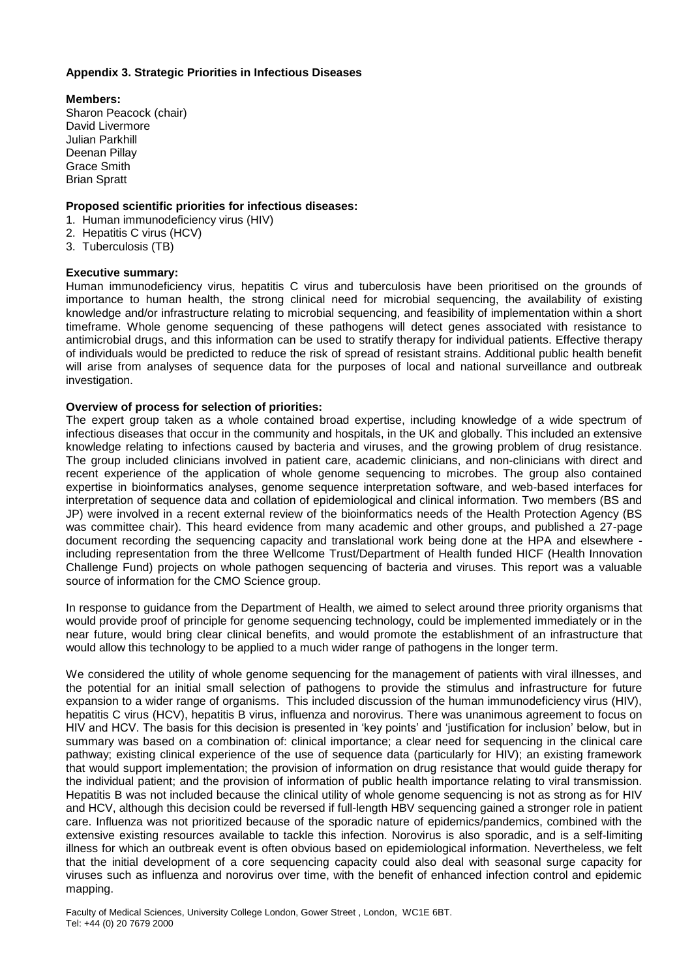# **Appendix 3. Strategic Priorities in Infectious Diseases**

**Members:** Sharon Peacock (chair) David Livermore Julian Parkhill Deenan Pillay Grace Smith Brian Spratt

# **Proposed scientific priorities for infectious diseases:**

- 1. Human immunodeficiency virus (HIV)
- 2. Hepatitis C virus (HCV)
- 3. Tuberculosis (TB)

# **Executive summary:**

Human immunodeficiency virus, hepatitis C virus and tuberculosis have been prioritised on the grounds of importance to human health, the strong clinical need for microbial sequencing, the availability of existing knowledge and/or infrastructure relating to microbial sequencing, and feasibility of implementation within a short timeframe. Whole genome sequencing of these pathogens will detect genes associated with resistance to antimicrobial drugs, and this information can be used to stratify therapy for individual patients. Effective therapy of individuals would be predicted to reduce the risk of spread of resistant strains. Additional public health benefit will arise from analyses of sequence data for the purposes of local and national surveillance and outbreak investigation.

# **Overview of process for selection of priorities:**

The expert group taken as a whole contained broad expertise, including knowledge of a wide spectrum of infectious diseases that occur in the community and hospitals, in the UK and globally. This included an extensive knowledge relating to infections caused by bacteria and viruses, and the growing problem of drug resistance. The group included clinicians involved in patient care, academic clinicians, and non-clinicians with direct and recent experience of the application of whole genome sequencing to microbes. The group also contained expertise in bioinformatics analyses, genome sequence interpretation software, and web-based interfaces for interpretation of sequence data and collation of epidemiological and clinical information. Two members (BS and JP) were involved in a recent external review of the bioinformatics needs of the Health Protection Agency (BS was committee chair). This heard evidence from many academic and other groups, and published a 27-page document recording the sequencing capacity and translational work being done at the HPA and elsewhere including representation from the three Wellcome Trust/Department of Health funded HICF (Health Innovation Challenge Fund) projects on whole pathogen sequencing of bacteria and viruses. This report was a valuable source of information for the CMO Science group.

In response to guidance from the Department of Health, we aimed to select around three priority organisms that would provide proof of principle for genome sequencing technology, could be implemented immediately or in the near future, would bring clear clinical benefits, and would promote the establishment of an infrastructure that would allow this technology to be applied to a much wider range of pathogens in the longer term.

We considered the utility of whole genome sequencing for the management of patients with viral illnesses, and the potential for an initial small selection of pathogens to provide the stimulus and infrastructure for future expansion to a wider range of organisms. This included discussion of the human immunodeficiency virus (HIV), hepatitis C virus (HCV), hepatitis B virus, influenza and norovirus. There was unanimous agreement to focus on HIV and HCV. The basis for this decision is presented in 'key points' and 'justification for inclusion' below, but in summary was based on a combination of: clinical importance; a clear need for sequencing in the clinical care pathway; existing clinical experience of the use of sequence data (particularly for HIV); an existing framework that would support implementation; the provision of information on drug resistance that would guide therapy for the individual patient; and the provision of information of public health importance relating to viral transmission. Hepatitis B was not included because the clinical utility of whole genome sequencing is not as strong as for HIV and HCV, although this decision could be reversed if full-length HBV sequencing gained a stronger role in patient care. Influenza was not prioritized because of the sporadic nature of epidemics/pandemics, combined with the extensive existing resources available to tackle this infection. Norovirus is also sporadic, and is a self-limiting illness for which an outbreak event is often obvious based on epidemiological information. Nevertheless, we felt that the initial development of a core sequencing capacity could also deal with seasonal surge capacity for viruses such as influenza and norovirus over time, with the benefit of enhanced infection control and epidemic mapping.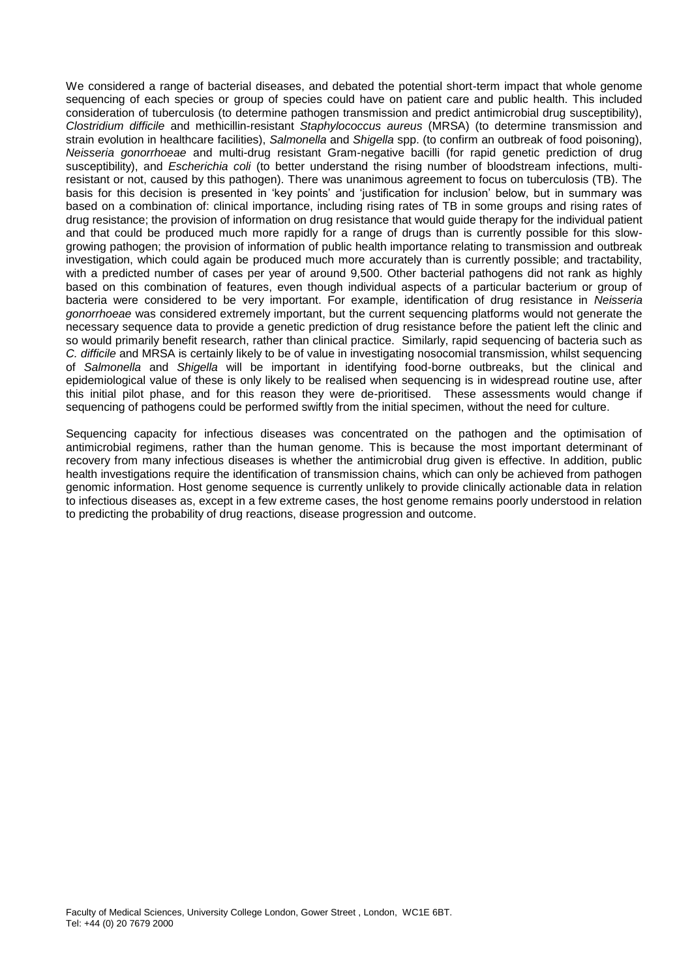We considered a range of bacterial diseases, and debated the potential short-term impact that whole genome sequencing of each species or group of species could have on patient care and public health. This included consideration of tuberculosis (to determine pathogen transmission and predict antimicrobial drug susceptibility), *Clostridium difficile* and methicillin-resistant *Staphylococcus aureus* (MRSA) (to determine transmission and strain evolution in healthcare facilities), *Salmonella* and *Shigella* spp. (to confirm an outbreak of food poisoning), *Neisseria gonorrhoeae* and multi-drug resistant Gram-negative bacilli (for rapid genetic prediction of drug susceptibility), and *Escherichia coli* (to better understand the rising number of bloodstream infections, multiresistant or not, caused by this pathogen). There was unanimous agreement to focus on tuberculosis (TB). The basis for this decision is presented in 'key points' and 'justification for inclusion' below, but in summary was based on a combination of: clinical importance, including rising rates of TB in some groups and rising rates of drug resistance; the provision of information on drug resistance that would guide therapy for the individual patient and that could be produced much more rapidly for a range of drugs than is currently possible for this slowgrowing pathogen; the provision of information of public health importance relating to transmission and outbreak investigation, which could again be produced much more accurately than is currently possible; and tractability, with a predicted number of cases per year of around 9,500. Other bacterial pathogens did not rank as highly based on this combination of features, even though individual aspects of a particular bacterium or group of bacteria were considered to be very important. For example, identification of drug resistance in *Neisseria gonorrhoeae* was considered extremely important, but the current sequencing platforms would not generate the necessary sequence data to provide a genetic prediction of drug resistance before the patient left the clinic and so would primarily benefit research, rather than clinical practice. Similarly, rapid sequencing of bacteria such as *C. difficile* and MRSA is certainly likely to be of value in investigating nosocomial transmission, whilst sequencing of *Salmonella* and *Shigella* will be important in identifying food-borne outbreaks, but the clinical and epidemiological value of these is only likely to be realised when sequencing is in widespread routine use, after this initial pilot phase, and for this reason they were de-prioritised. These assessments would change if sequencing of pathogens could be performed swiftly from the initial specimen, without the need for culture.

Sequencing capacity for infectious diseases was concentrated on the pathogen and the optimisation of antimicrobial regimens, rather than the human genome. This is because the most important determinant of recovery from many infectious diseases is whether the antimicrobial drug given is effective. In addition, public health investigations require the identification of transmission chains, which can only be achieved from pathogen genomic information. Host genome sequence is currently unlikely to provide clinically actionable data in relation to infectious diseases as, except in a few extreme cases, the host genome remains poorly understood in relation to predicting the probability of drug reactions, disease progression and outcome.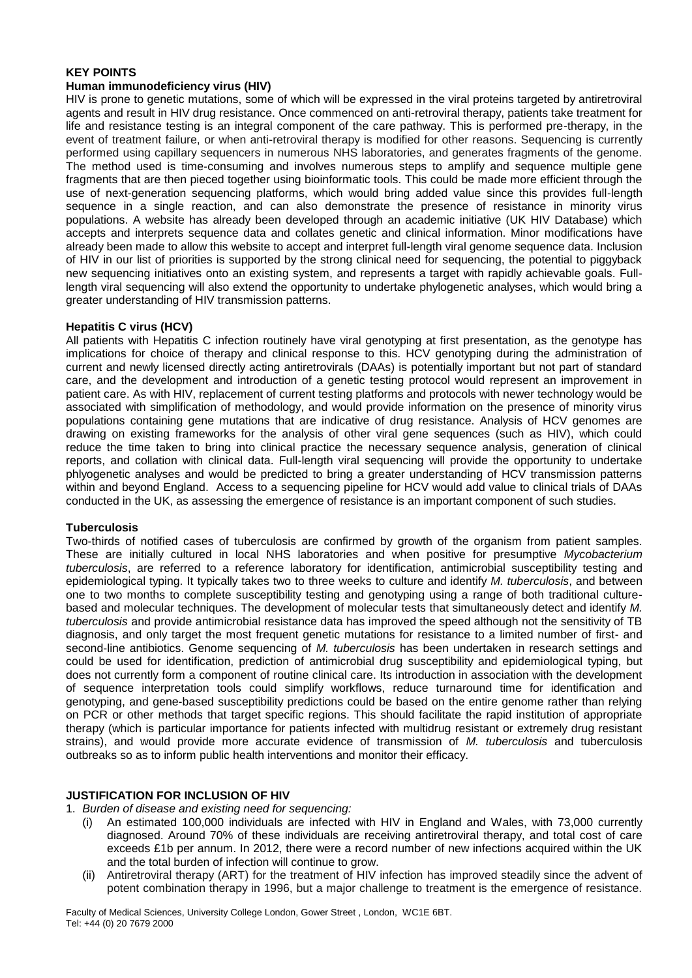# **KEY POINTS**

### **Human immunodeficiency virus (HIV)**

HIV is prone to genetic mutations, some of which will be expressed in the viral proteins targeted by antiretroviral agents and result in HIV drug resistance. Once commenced on anti-retroviral therapy, patients take treatment for life and resistance testing is an integral component of the care pathway. This is performed pre-therapy, in the event of treatment failure, or when anti-retroviral therapy is modified for other reasons. Sequencing is currently performed using capillary sequencers in numerous NHS laboratories, and generates fragments of the genome. The method used is time-consuming and involves numerous steps to amplify and sequence multiple gene fragments that are then pieced together using bioinformatic tools. This could be made more efficient through the use of next-generation sequencing platforms, which would bring added value since this provides full-length sequence in a single reaction, and can also demonstrate the presence of resistance in minority virus populations. A website has already been developed through an academic initiative (UK HIV Database) which accepts and interprets sequence data and collates genetic and clinical information. Minor modifications have already been made to allow this website to accept and interpret full-length viral genome sequence data. Inclusion of HIV in our list of priorities is supported by the strong clinical need for sequencing, the potential to piggyback new sequencing initiatives onto an existing system, and represents a target with rapidly achievable goals. Fulllength viral sequencing will also extend the opportunity to undertake phylogenetic analyses, which would bring a greater understanding of HIV transmission patterns.

### **Hepatitis C virus (HCV)**

All patients with Hepatitis C infection routinely have viral genotyping at first presentation, as the genotype has implications for choice of therapy and clinical response to this. HCV genotyping during the administration of current and newly licensed directly acting antiretrovirals (DAAs) is potentially important but not part of standard care, and the development and introduction of a genetic testing protocol would represent an improvement in patient care. As with HIV, replacement of current testing platforms and protocols with newer technology would be associated with simplification of methodology, and would provide information on the presence of minority virus populations containing gene mutations that are indicative of drug resistance. Analysis of HCV genomes are drawing on existing frameworks for the analysis of other viral gene sequences (such as HIV), which could reduce the time taken to bring into clinical practice the necessary sequence analysis, generation of clinical reports, and collation with clinical data. Full-length viral sequencing will provide the opportunity to undertake phlyogenetic analyses and would be predicted to bring a greater understanding of HCV transmission patterns within and beyond England. Access to a sequencing pipeline for HCV would add value to clinical trials of DAAs conducted in the UK, as assessing the emergence of resistance is an important component of such studies.

### **Tuberculosis**

Two-thirds of notified cases of tuberculosis are confirmed by growth of the organism from patient samples. These are initially cultured in local NHS laboratories and when positive for presumptive *Mycobacterium tuberculosis*, are referred to a reference laboratory for identification, antimicrobial susceptibility testing and epidemiological typing. It typically takes two to three weeks to culture and identify *M. tuberculosis*, and between one to two months to complete susceptibility testing and genotyping using a range of both traditional culturebased and molecular techniques. The development of molecular tests that simultaneously detect and identify *M. tuberculosis* and provide antimicrobial resistance data has improved the speed although not the sensitivity of TB diagnosis, and only target the most frequent genetic mutations for resistance to a limited number of first- and second-line antibiotics. Genome sequencing of *M. tuberculosis* has been undertaken in research settings and could be used for identification, prediction of antimicrobial drug susceptibility and epidemiological typing, but does not currently form a component of routine clinical care. Its introduction in association with the development of sequence interpretation tools could simplify workflows, reduce turnaround time for identification and genotyping, and gene-based susceptibility predictions could be based on the entire genome rather than relying on PCR or other methods that target specific regions. This should facilitate the rapid institution of appropriate therapy (which is particular importance for patients infected with multidrug resistant or extremely drug resistant strains), and would provide more accurate evidence of transmission of *M. tuberculosis* and tuberculosis outbreaks so as to inform public health interventions and monitor their efficacy.

### **JUSTIFICATION FOR INCLUSION OF HIV**

#### 1. *Burden of disease and existing need for sequencing:*

- (i) An estimated 100,000 individuals are infected with HIV in England and Wales, with 73,000 currently diagnosed. Around 70% of these individuals are receiving antiretroviral therapy, and total cost of care exceeds £1b per annum. In 2012, there were a record number of new infections acquired within the UK and the total burden of infection will continue to grow.
- (ii) Antiretroviral therapy (ART) for the treatment of HIV infection has improved steadily since the advent of potent combination therapy in 1996, but a major challenge to treatment is the emergence of resistance.

Faculty of Medical Sciences, University College London, Gower Street , London, WC1E 6BT. Tel: +44 (0) 20 7679 2000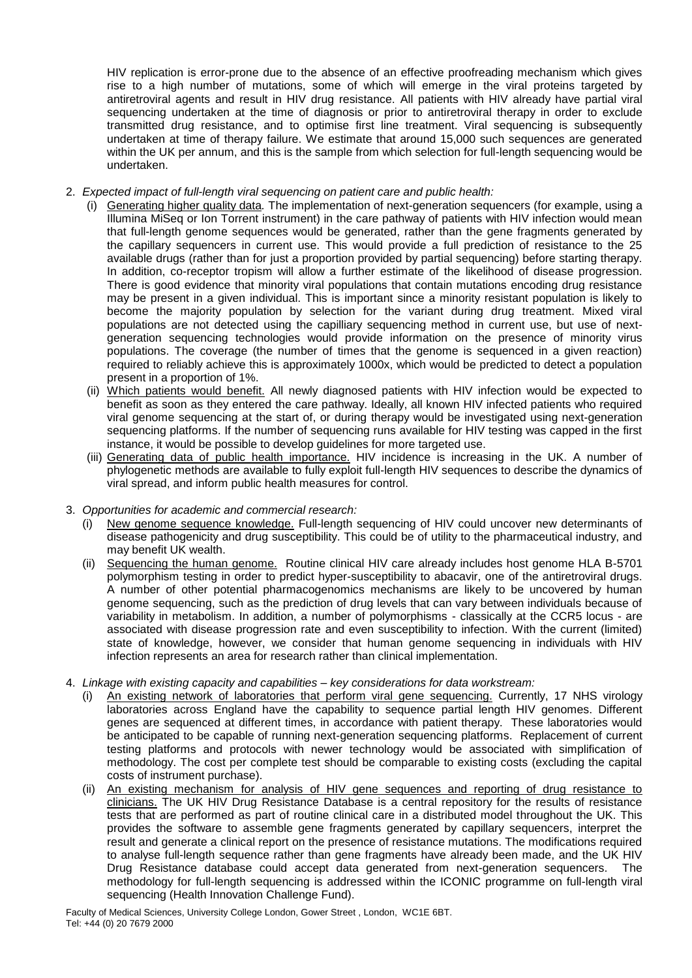HIV replication is error-prone due to the absence of an effective proofreading mechanism which gives rise to a high number of mutations, some of which will emerge in the viral proteins targeted by antiretroviral agents and result in HIV drug resistance. All patients with HIV already have partial viral sequencing undertaken at the time of diagnosis or prior to antiretroviral therapy in order to exclude transmitted drug resistance, and to optimise first line treatment. Viral sequencing is subsequently undertaken at time of therapy failure. We estimate that around 15,000 such sequences are generated within the UK per annum, and this is the sample from which selection for full-length sequencing would be undertaken.

# 2. *Expected impact of full-length viral sequencing on patient care and public health:*

- (i) Generating higher quality data*.* The implementation of next-generation sequencers (for example, using a Illumina MiSeq or Ion Torrent instrument) in the care pathway of patients with HIV infection would mean that full-length genome sequences would be generated, rather than the gene fragments generated by the capillary sequencers in current use. This would provide a full prediction of resistance to the 25 available drugs (rather than for just a proportion provided by partial sequencing) before starting therapy. In addition, co-receptor tropism will allow a further estimate of the likelihood of disease progression. There is good evidence that minority viral populations that contain mutations encoding drug resistance may be present in a given individual. This is important since a minority resistant population is likely to become the majority population by selection for the variant during drug treatment. Mixed viral populations are not detected using the capilliary sequencing method in current use, but use of nextgeneration sequencing technologies would provide information on the presence of minority virus populations. The coverage (the number of times that the genome is sequenced in a given reaction) required to reliably achieve this is approximately 1000x, which would be predicted to detect a population present in a proportion of 1%.
	- (ii) Which patients would benefit. All newly diagnosed patients with HIV infection would be expected to benefit as soon as they entered the care pathway. Ideally, all known HIV infected patients who required viral genome sequencing at the start of, or during therapy would be investigated using next-generation sequencing platforms. If the number of sequencing runs available for HIV testing was capped in the first instance, it would be possible to develop guidelines for more targeted use.
	- (iii) Generating data of public health importance. HIV incidence is increasing in the UK. A number of phylogenetic methods are available to fully exploit full-length HIV sequences to describe the dynamics of viral spread, and inform public health measures for control.

### 3. *Opportunities for academic and commercial research:*

- New genome sequence knowledge. Full-length sequencing of HIV could uncover new determinants of disease pathogenicity and drug susceptibility. This could be of utility to the pharmaceutical industry, and may benefit UK wealth.
- (ii) Sequencing the human genome. Routine clinical HIV care already includes host genome HLA B-5701 polymorphism testing in order to predict hyper-susceptibility to abacavir, one of the antiretroviral drugs. A number of other potential pharmacogenomics mechanisms are likely to be uncovered by human genome sequencing, such as the prediction of drug levels that can vary between individuals because of variability in metabolism. In addition, a number of polymorphisms - classically at the CCR5 locus - are associated with disease progression rate and even susceptibility to infection. With the current (limited) state of knowledge, however, we consider that human genome sequencing in individuals with HIV infection represents an area for research rather than clinical implementation.
- 4. *Linkage with existing capacity and capabilities – key considerations for data workstream:* 
	- (i) An existing network of laboratories that perform viral gene sequencing. Currently, 17 NHS virology laboratories across England have the capability to sequence partial length HIV genomes. Different genes are sequenced at different times, in accordance with patient therapy. These laboratories would be anticipated to be capable of running next-generation sequencing platforms. Replacement of current testing platforms and protocols with newer technology would be associated with simplification of methodology. The cost per complete test should be comparable to existing costs (excluding the capital costs of instrument purchase).
	- (ii) An existing mechanism for analysis of HIV gene sequences and reporting of drug resistance to clinicians. The UK HIV Drug Resistance Database is a central repository for the results of resistance tests that are performed as part of routine clinical care in a distributed model throughout the UK. This provides the software to assemble gene fragments generated by capillary sequencers, interpret the result and generate a clinical report on the presence of resistance mutations. The modifications required to analyse full-length sequence rather than gene fragments have already been made, and the UK HIV Drug Resistance database could accept data generated from next-generation sequencers. The methodology for full-length sequencing is addressed within the ICONIC programme on full-length viral sequencing (Health Innovation Challenge Fund).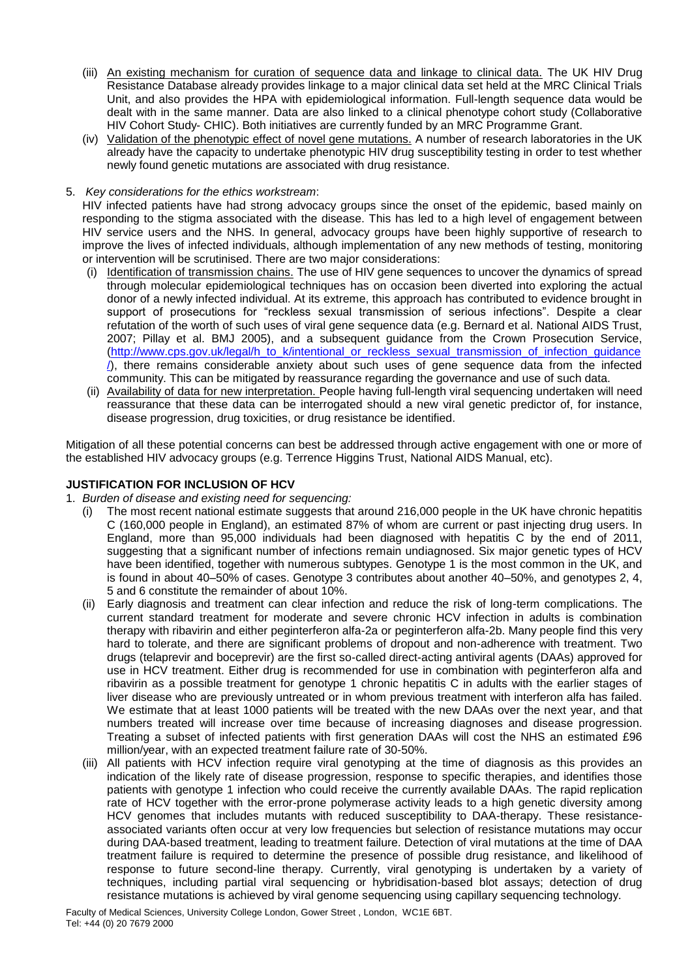- (iii) An existing mechanism for curation of sequence data and linkage to clinical data. The UK HIV Drug Resistance Database already provides linkage to a major clinical data set held at the MRC Clinical Trials Unit, and also provides the HPA with epidemiological information. Full-length sequence data would be dealt with in the same manner. Data are also linked to a clinical phenotype cohort study (Collaborative HIV Cohort Study- CHIC). Both initiatives are currently funded by an MRC Programme Grant.
- (iv) Validation of the phenotypic effect of novel gene mutations. A number of research laboratories in the UK already have the capacity to undertake phenotypic HIV drug susceptibility testing in order to test whether newly found genetic mutations are associated with drug resistance.

# 5. *Key considerations for the ethics workstream*:

HIV infected patients have had strong advocacy groups since the onset of the epidemic, based mainly on responding to the stigma associated with the disease. This has led to a high level of engagement between HIV service users and the NHS. In general, advocacy groups have been highly supportive of research to improve the lives of infected individuals, although implementation of any new methods of testing, monitoring or intervention will be scrutinised. There are two major considerations:

- (i) Identification of transmission chains. The use of HIV gene sequences to uncover the dynamics of spread through molecular epidemiological techniques has on occasion been diverted into exploring the actual donor of a newly infected individual. At its extreme, this approach has contributed to evidence brought in support of prosecutions for "reckless sexual transmission of serious infections". Despite a clear refutation of the worth of such uses of viral gene sequence data (e.g. Bernard et al. National AIDS Trust, 2007; Pillay et al. BMJ 2005), and a subsequent guidance from the Crown Prosecution Service, [\(http://www.cps.gov.uk/legal/h\\_to\\_k/intentional\\_or\\_reckless\\_sexual\\_transmission\\_of\\_infection\\_guidance](http://www.cps.gov.uk/legal/h_to_k/intentional_or_reckless_sexual_transmission_of_infection_guidance/) [/\)](http://www.cps.gov.uk/legal/h_to_k/intentional_or_reckless_sexual_transmission_of_infection_guidance/), there remains considerable anxiety about such uses of gene sequence data from the infected community. This can be mitigated by reassurance regarding the governance and use of such data.
- (ii) Availability of data for new interpretation. People having full-length viral sequencing undertaken will need reassurance that these data can be interrogated should a new viral genetic predictor of, for instance, disease progression, drug toxicities, or drug resistance be identified.

Mitigation of all these potential concerns can best be addressed through active engagement with one or more of the established HIV advocacy groups (e.g. Terrence Higgins Trust, National AIDS Manual, etc).

# **JUSTIFICATION FOR INCLUSION OF HCV**

- 1. *Burden of disease and existing need for sequencing:* 
	- (i) The most recent national estimate suggests that around 216,000 people in the UK have chronic hepatitis C (160,000 people in England), an estimated 87% of whom are current or past injecting drug users. In England, more than 95,000 individuals had been diagnosed with hepatitis C by the end of 2011, suggesting that a significant number of infections remain undiagnosed. Six major genetic types of HCV have been identified, together with numerous subtypes. Genotype 1 is the most common in the UK, and is found in about 40–50% of cases. Genotype 3 contributes about another 40–50%, and genotypes 2, 4, 5 and 6 constitute the remainder of about 10%.
	- (ii) Early diagnosis and treatment can clear infection and reduce the risk of long-term complications. The current standard treatment for moderate and severe chronic HCV infection in adults is combination therapy with ribavirin and either peginterferon alfa-2a or peginterferon alfa-2b. Many people find this very hard to tolerate, and there are significant problems of dropout and non-adherence with treatment. Two drugs (telaprevir and boceprevir) are the first so-called direct-acting antiviral agents (DAAs) approved for use in HCV treatment. Either drug is recommended for use in combination with peginterferon alfa and ribavirin as a possible treatment for genotype 1 chronic hepatitis C in adults with the earlier stages of liver disease who are previously untreated or in whom previous treatment with interferon alfa has failed. We estimate that at least 1000 patients will be treated with the new DAAs over the next year, and that numbers treated will increase over time because of increasing diagnoses and disease progression. Treating a subset of infected patients with first generation DAAs will cost the NHS an estimated £96 million/year, with an expected treatment failure rate of 30-50%.
	- (iii) All patients with HCV infection require viral genotyping at the time of diagnosis as this provides an indication of the likely rate of disease progression, response to specific therapies, and identifies those patients with genotype 1 infection who could receive the currently available DAAs. The rapid replication rate of HCV together with the error-prone polymerase activity leads to a high genetic diversity among HCV genomes that includes mutants with reduced susceptibility to DAA-therapy. These resistanceassociated variants often occur at very low frequencies but selection of resistance mutations may occur during DAA-based treatment, leading to treatment failure. Detection of viral mutations at the time of DAA treatment failure is required to determine the presence of possible drug resistance, and likelihood of response to future second-line therapy. Currently, viral genotyping is undertaken by a variety of techniques, including partial viral sequencing or hybridisation-based blot assays; detection of drug resistance mutations is achieved by viral genome sequencing using capillary sequencing technology.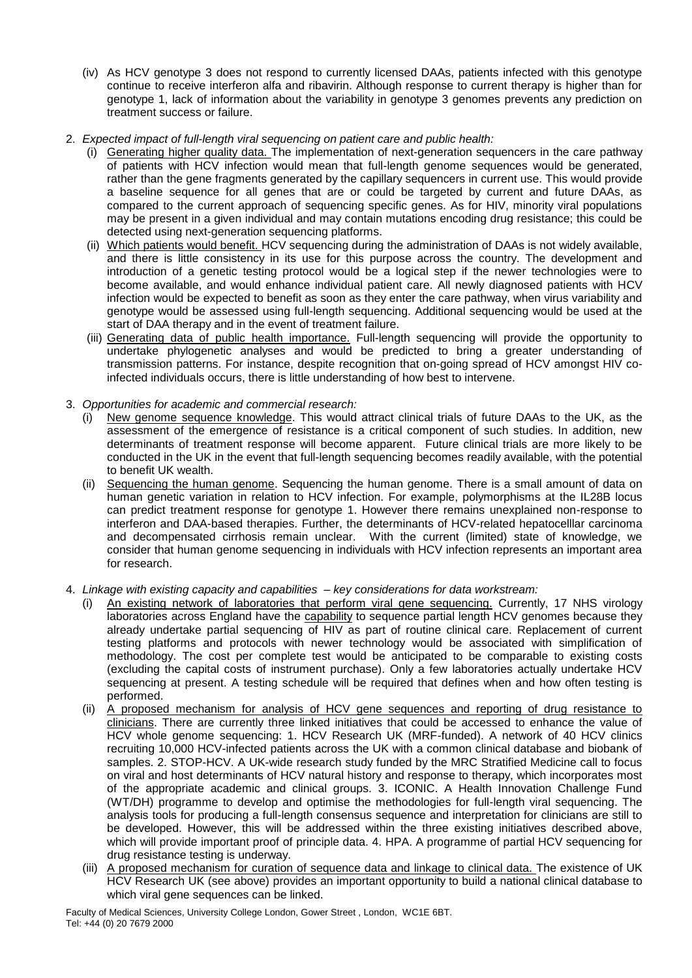- (iv) As HCV genotype 3 does not respond to currently licensed DAAs, patients infected with this genotype continue to receive interferon alfa and ribavirin. Although response to current therapy is higher than for genotype 1, lack of information about the variability in genotype 3 genomes prevents any prediction on treatment success or failure.
- 2. *Expected impact of full-length viral sequencing on patient care and public health:*
	- (i) Generating higher quality data. The implementation of next-generation sequencers in the care pathway of patients with HCV infection would mean that full-length genome sequences would be generated, rather than the gene fragments generated by the capillary sequencers in current use. This would provide a baseline sequence for all genes that are or could be targeted by current and future DAAs, as compared to the current approach of sequencing specific genes. As for HIV, minority viral populations may be present in a given individual and may contain mutations encoding drug resistance; this could be detected using next-generation sequencing platforms.
	- (ii) Which patients would benefit. HCV sequencing during the administration of DAAs is not widely available, and there is little consistency in its use for this purpose across the country. The development and introduction of a genetic testing protocol would be a logical step if the newer technologies were to become available, and would enhance individual patient care. All newly diagnosed patients with HCV infection would be expected to benefit as soon as they enter the care pathway, when virus variability and genotype would be assessed using full-length sequencing. Additional sequencing would be used at the start of DAA therapy and in the event of treatment failure.
	- (iii) Generating data of public health importance. Full-length sequencing will provide the opportunity to undertake phylogenetic analyses and would be predicted to bring a greater understanding of transmission patterns. For instance, despite recognition that on-going spread of HCV amongst HIV coinfected individuals occurs, there is little understanding of how best to intervene.
- 3. *Opportunities for academic and commercial research:*
	- (i) New genome sequence knowledge. This would attract clinical trials of future DAAs to the UK, as the assessment of the emergence of resistance is a critical component of such studies. In addition, new determinants of treatment response will become apparent. Future clinical trials are more likely to be conducted in the UK in the event that full-length sequencing becomes readily available, with the potential to benefit UK wealth.
	- (ii) Sequencing the human genome. Sequencing the human genome. There is a small amount of data on human genetic variation in relation to HCV infection. For example, polymorphisms at the IL28B locus can predict treatment response for genotype 1. However there remains unexplained non-response to interferon and DAA-based therapies. Further, the determinants of HCV-related hepatocelllar carcinoma and decompensated cirrhosis remain unclear. With the current (limited) state of knowledge, we consider that human genome sequencing in individuals with HCV infection represents an important area for research.
- 4. *Linkage with existing capacity and capabilities – key considerations for data workstream:* 
	- (i) An existing network of laboratories that perform viral gene sequencing. Currently, 17 NHS virology laboratories across England have the capability to sequence partial length HCV genomes because they already undertake partial sequencing of HIV as part of routine clinical care. Replacement of current testing platforms and protocols with newer technology would be associated with simplification of methodology. The cost per complete test would be anticipated to be comparable to existing costs (excluding the capital costs of instrument purchase). Only a few laboratories actually undertake HCV sequencing at present. A testing schedule will be required that defines when and how often testing is performed.
	- (ii) A proposed mechanism for analysis of HCV gene sequences and reporting of drug resistance to clinicians. There are currently three linked initiatives that could be accessed to enhance the value of HCV whole genome sequencing: 1. HCV Research UK (MRF-funded). A network of 40 HCV clinics recruiting 10,000 HCV-infected patients across the UK with a common clinical database and biobank of samples. 2. STOP-HCV. A UK-wide research study funded by the MRC Stratified Medicine call to focus on viral and host determinants of HCV natural history and response to therapy, which incorporates most of the appropriate academic and clinical groups. 3. ICONIC. A Health Innovation Challenge Fund (WT/DH) programme to develop and optimise the methodologies for full-length viral sequencing. The analysis tools for producing a full-length consensus sequence and interpretation for clinicians are still to be developed. However, this will be addressed within the three existing initiatives described above, which will provide important proof of principle data. 4. HPA. A programme of partial HCV sequencing for drug resistance testing is underway.
	- (iii) A proposed mechanism for curation of sequence data and linkage to clinical data. The existence of UK HCV Research UK (see above) provides an important opportunity to build a national clinical database to which viral gene sequences can be linked.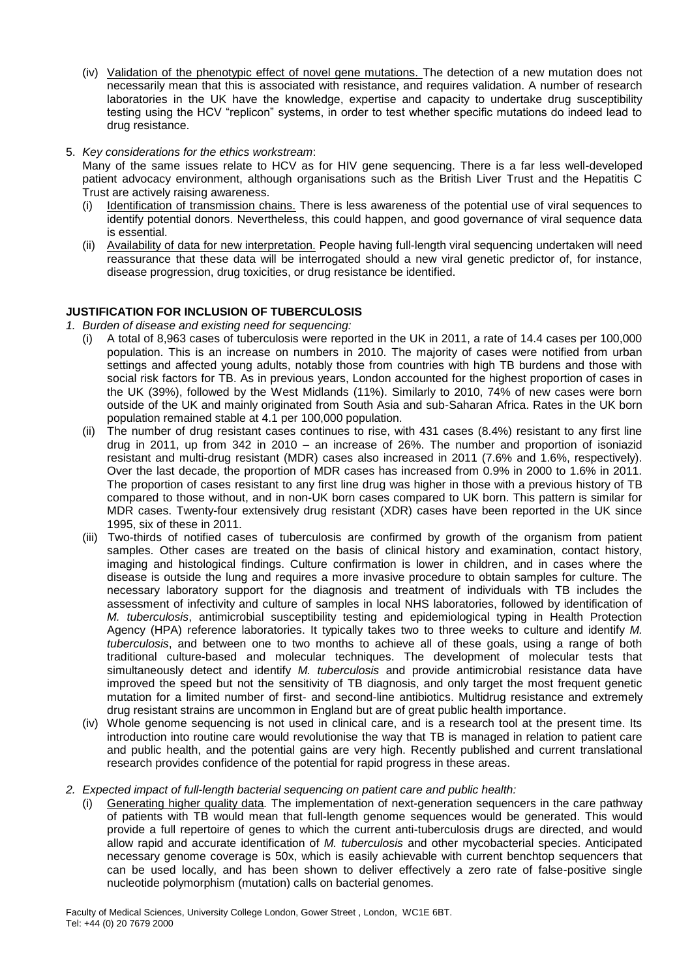- (iv) Validation of the phenotypic effect of novel gene mutations. The detection of a new mutation does not necessarily mean that this is associated with resistance, and requires validation. A number of research laboratories in the UK have the knowledge, expertise and capacity to undertake drug susceptibility testing using the HCV "replicon" systems, in order to test whether specific mutations do indeed lead to drug resistance.
- 5. *Key considerations for the ethics workstream*:

Many of the same issues relate to HCV as for HIV gene sequencing. There is a far less well-developed patient advocacy environment, although organisations such as the British Liver Trust and the Hepatitis C Trust are actively raising awareness.

- (i) Identification of transmission chains. There is less awareness of the potential use of viral sequences to identify potential donors. Nevertheless, this could happen, and good governance of viral sequence data is essential.
- (ii) Availability of data for new interpretation. People having full-length viral sequencing undertaken will need reassurance that these data will be interrogated should a new viral genetic predictor of, for instance, disease progression, drug toxicities, or drug resistance be identified.

# **JUSTIFICATION FOR INCLUSION OF TUBERCULOSIS**

*1. Burden of disease and existing need for sequencing:* 

- (i) A total of 8,963 cases of tuberculosis were reported in the UK in 2011, a rate of 14.4 cases per 100,000 population. This is an increase on numbers in 2010. The majority of cases were notified from urban settings and affected young adults, notably those from countries with high TB burdens and those with social risk factors for TB. As in previous years, London accounted for the highest proportion of cases in the UK (39%), followed by the West Midlands (11%). Similarly to 2010, 74% of new cases were born outside of the UK and mainly originated from South Asia and sub-Saharan Africa. Rates in the UK born population remained stable at 4.1 per 100,000 population.
- (ii) The number of drug resistant cases continues to rise, with 431 cases (8.4%) resistant to any first line drug in 2011, up from 342 in 2010 – an increase of 26%. The number and proportion of isoniazid resistant and multi-drug resistant (MDR) cases also increased in 2011 (7.6% and 1.6%, respectively). Over the last decade, the proportion of MDR cases has increased from 0.9% in 2000 to 1.6% in 2011. The proportion of cases resistant to any first line drug was higher in those with a previous history of TB compared to those without, and in non-UK born cases compared to UK born. This pattern is similar for MDR cases. Twenty-four extensively drug resistant (XDR) cases have been reported in the UK since 1995, six of these in 2011.
- (iii) Two-thirds of notified cases of tuberculosis are confirmed by growth of the organism from patient samples. Other cases are treated on the basis of clinical history and examination, contact history, imaging and histological findings. Culture confirmation is lower in children, and in cases where the disease is outside the lung and requires a more invasive procedure to obtain samples for culture. The necessary laboratory support for the diagnosis and treatment of individuals with TB includes the assessment of infectivity and culture of samples in local NHS laboratories, followed by identification of *M. tuberculosis*, antimicrobial susceptibility testing and epidemiological typing in Health Protection Agency (HPA) reference laboratories. It typically takes two to three weeks to culture and identify *M. tuberculosis*, and between one to two months to achieve all of these goals, using a range of both traditional culture-based and molecular techniques. The development of molecular tests that simultaneously detect and identify *M. tuberculosis* and provide antimicrobial resistance data have improved the speed but not the sensitivity of TB diagnosis, and only target the most frequent genetic mutation for a limited number of first- and second-line antibiotics. Multidrug resistance and extremely drug resistant strains are uncommon in England but are of great public health importance.
- (iv) Whole genome sequencing is not used in clinical care, and is a research tool at the present time. Its introduction into routine care would revolutionise the way that TB is managed in relation to patient care and public health, and the potential gains are very high. Recently published and current translational research provides confidence of the potential for rapid progress in these areas.
- *2. Expected impact of full-length bacterial sequencing on patient care and public health:*
	- (i) Generating higher quality data*.* The implementation of next-generation sequencers in the care pathway of patients with TB would mean that full-length genome sequences would be generated. This would provide a full repertoire of genes to which the current anti-tuberculosis drugs are directed, and would allow rapid and accurate identification of *M. tuberculosis* and other mycobacterial species. Anticipated necessary genome coverage is 50x, which is easily achievable with current benchtop sequencers that can be used locally, and has been shown to deliver effectively a zero rate of false-positive single nucleotide polymorphism (mutation) calls on bacterial genomes.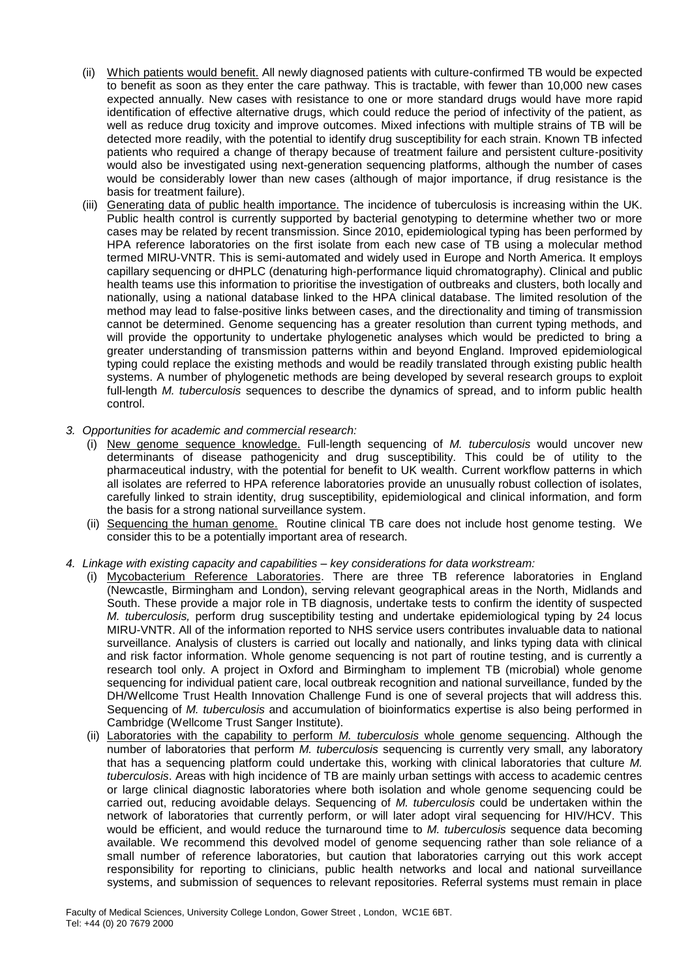- (ii) Which patients would benefit. All newly diagnosed patients with culture-confirmed TB would be expected to benefit as soon as they enter the care pathway. This is tractable, with fewer than 10,000 new cases expected annually. New cases with resistance to one or more standard drugs would have more rapid identification of effective alternative drugs, which could reduce the period of infectivity of the patient, as well as reduce drug toxicity and improve outcomes. Mixed infections with multiple strains of TB will be detected more readily, with the potential to identify drug susceptibility for each strain. Known TB infected patients who required a change of therapy because of treatment failure and persistent culture-positivity would also be investigated using next-generation sequencing platforms, although the number of cases would be considerably lower than new cases (although of major importance, if drug resistance is the basis for treatment failure).
- (iii) Generating data of public health importance. The incidence of tuberculosis is increasing within the UK. Public health control is currently supported by bacterial genotyping to determine whether two or more cases may be related by recent transmission. Since 2010, epidemiological typing has been performed by HPA reference laboratories on the first isolate from each new case of TB using a molecular method termed MIRU-VNTR. This is semi-automated and widely used in Europe and North America. It employs capillary sequencing or dHPLC (denaturing high-performance liquid chromatography). Clinical and public health teams use this information to prioritise the investigation of outbreaks and clusters, both locally and nationally, using a national database linked to the HPA clinical database. The limited resolution of the method may lead to false-positive links between cases, and the directionality and timing of transmission cannot be determined. Genome sequencing has a greater resolution than current typing methods, and will provide the opportunity to undertake phylogenetic analyses which would be predicted to bring a greater understanding of transmission patterns within and beyond England. Improved epidemiological typing could replace the existing methods and would be readily translated through existing public health systems. A number of phylogenetic methods are being developed by several research groups to exploit full-length *M. tuberculosis* sequences to describe the dynamics of spread, and to inform public health control.
- *3. Opportunities for academic and commercial research:*
	- (i) New genome sequence knowledge. Full-length sequencing of *M. tuberculosis* would uncover new determinants of disease pathogenicity and drug susceptibility. This could be of utility to the pharmaceutical industry, with the potential for benefit to UK wealth. Current workflow patterns in which all isolates are referred to HPA reference laboratories provide an unusually robust collection of isolates, carefully linked to strain identity, drug susceptibility, epidemiological and clinical information, and form the basis for a strong national surveillance system.
	- (ii) Sequencing the human genome. Routine clinical TB care does not include host genome testing. We consider this to be a potentially important area of research.
- *4. Linkage with existing capacity and capabilities – key considerations for data workstream:* 
	- (i) Mycobacterium Reference Laboratories. There are three TB reference laboratories in England (Newcastle, Birmingham and London), serving relevant geographical areas in the North, Midlands and South. These provide a major role in TB diagnosis, undertake tests to confirm the identity of suspected *M. tuberculosis,* perform drug susceptibility testing and undertake epidemiological typing by 24 locus MIRU-VNTR. All of the information reported to NHS service users contributes invaluable data to national surveillance. Analysis of clusters is carried out locally and nationally, and links typing data with clinical and risk factor information. Whole genome sequencing is not part of routine testing, and is currently a research tool only. A project in Oxford and Birmingham to implement TB (microbial) whole genome sequencing for individual patient care, local outbreak recognition and national surveillance, funded by the DH/Wellcome Trust Health Innovation Challenge Fund is one of several projects that will address this. Sequencing of *M. tuberculosis* and accumulation of bioinformatics expertise is also being performed in Cambridge (Wellcome Trust Sanger Institute).
	- (ii) Laboratories with the capability to perform *M. tuberculosis* whole genome sequencing. Although the number of laboratories that perform *M. tuberculosis* sequencing is currently very small, any laboratory that has a sequencing platform could undertake this, working with clinical laboratories that culture *M. tuberculosis*. Areas with high incidence of TB are mainly urban settings with access to academic centres or large clinical diagnostic laboratories where both isolation and whole genome sequencing could be carried out, reducing avoidable delays. Sequencing of *M. tuberculosis* could be undertaken within the network of laboratories that currently perform, or will later adopt viral sequencing for HIV/HCV. This would be efficient, and would reduce the turnaround time to *M. tuberculosis* sequence data becoming available. We recommend this devolved model of genome sequencing rather than sole reliance of a small number of reference laboratories, but caution that laboratories carrying out this work accept responsibility for reporting to clinicians, public health networks and local and national surveillance systems, and submission of sequences to relevant repositories. Referral systems must remain in place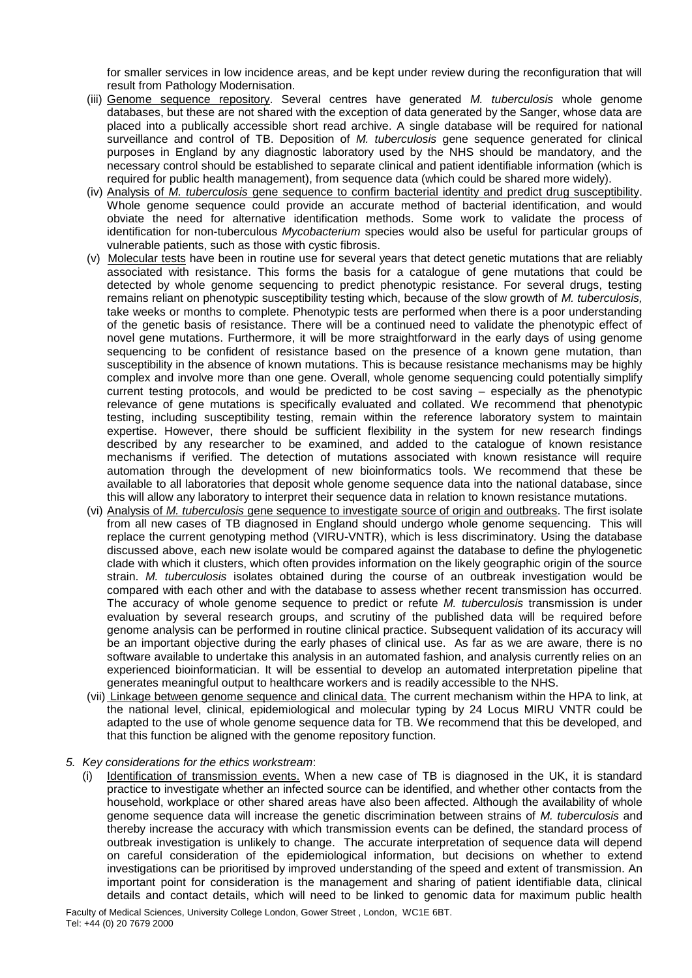for smaller services in low incidence areas, and be kept under review during the reconfiguration that will result from Pathology Modernisation.

- (iii) Genome sequence repository. Several centres have generated *M. tuberculosis* whole genome databases, but these are not shared with the exception of data generated by the Sanger, whose data are placed into a publically accessible short read archive. A single database will be required for national surveillance and control of TB. Deposition of *M. tuberculosis* gene sequence generated for clinical purposes in England by any diagnostic laboratory used by the NHS should be mandatory, and the necessary control should be established to separate clinical and patient identifiable information (which is required for public health management), from sequence data (which could be shared more widely).
- (iv) Analysis of *M. tuberculosis* gene sequence to confirm bacterial identity and predict drug susceptibility. Whole genome sequence could provide an accurate method of bacterial identification, and would obviate the need for alternative identification methods. Some work to validate the process of identification for non-tuberculous *Mycobacterium* species would also be useful for particular groups of vulnerable patients, such as those with cystic fibrosis.
- (v) Molecular tests have been in routine use for several years that detect genetic mutations that are reliably associated with resistance. This forms the basis for a catalogue of gene mutations that could be detected by whole genome sequencing to predict phenotypic resistance. For several drugs, testing remains reliant on phenotypic susceptibility testing which, because of the slow growth of *M. tuberculosis,* take weeks or months to complete. Phenotypic tests are performed when there is a poor understanding of the genetic basis of resistance. There will be a continued need to validate the phenotypic effect of novel gene mutations. Furthermore, it will be more straightforward in the early days of using genome sequencing to be confident of resistance based on the presence of a known gene mutation, than susceptibility in the absence of known mutations. This is because resistance mechanisms may be highly complex and involve more than one gene. Overall, whole genome sequencing could potentially simplify current testing protocols, and would be predicted to be cost saving – especially as the phenotypic relevance of gene mutations is specifically evaluated and collated. We recommend that phenotypic testing, including susceptibility testing, remain within the reference laboratory system to maintain expertise. However, there should be sufficient flexibility in the system for new research findings described by any researcher to be examined, and added to the catalogue of known resistance mechanisms if verified. The detection of mutations associated with known resistance will require automation through the development of new bioinformatics tools. We recommend that these be available to all laboratories that deposit whole genome sequence data into the national database, since this will allow any laboratory to interpret their sequence data in relation to known resistance mutations.
- (vi) Analysis of *M. tuberculosis* gene sequence to investigate source of origin and outbreaks. The first isolate from all new cases of TB diagnosed in England should undergo whole genome sequencing. This will replace the current genotyping method (VIRU-VNTR), which is less discriminatory. Using the database discussed above, each new isolate would be compared against the database to define the phylogenetic clade with which it clusters, which often provides information on the likely geographic origin of the source strain. *M. tuberculosis* isolates obtained during the course of an outbreak investigation would be compared with each other and with the database to assess whether recent transmission has occurred. The accuracy of whole genome sequence to predict or refute *M. tuberculosis* transmission is under evaluation by several research groups, and scrutiny of the published data will be required before genome analysis can be performed in routine clinical practice. Subsequent validation of its accuracy will be an important objective during the early phases of clinical use. As far as we are aware, there is no software available to undertake this analysis in an automated fashion, and analysis currently relies on an experienced bioinformatician. It will be essential to develop an automated interpretation pipeline that generates meaningful output to healthcare workers and is readily accessible to the NHS.
- (vii) Linkage between genome sequence and clinical data. The current mechanism within the HPA to link, at the national level, clinical, epidemiological and molecular typing by 24 Locus MIRU VNTR could be adapted to the use of whole genome sequence data for TB. We recommend that this be developed, and that this function be aligned with the genome repository function.
- *5. Key considerations for the ethics workstream*:
	- (i) Identification of transmission events. When a new case of TB is diagnosed in the UK, it is standard practice to investigate whether an infected source can be identified, and whether other contacts from the household, workplace or other shared areas have also been affected. Although the availability of whole genome sequence data will increase the genetic discrimination between strains of *M. tuberculosis* and thereby increase the accuracy with which transmission events can be defined, the standard process of outbreak investigation is unlikely to change. The accurate interpretation of sequence data will depend on careful consideration of the epidemiological information, but decisions on whether to extend investigations can be prioritised by improved understanding of the speed and extent of transmission. An important point for consideration is the management and sharing of patient identifiable data, clinical details and contact details, which will need to be linked to genomic data for maximum public health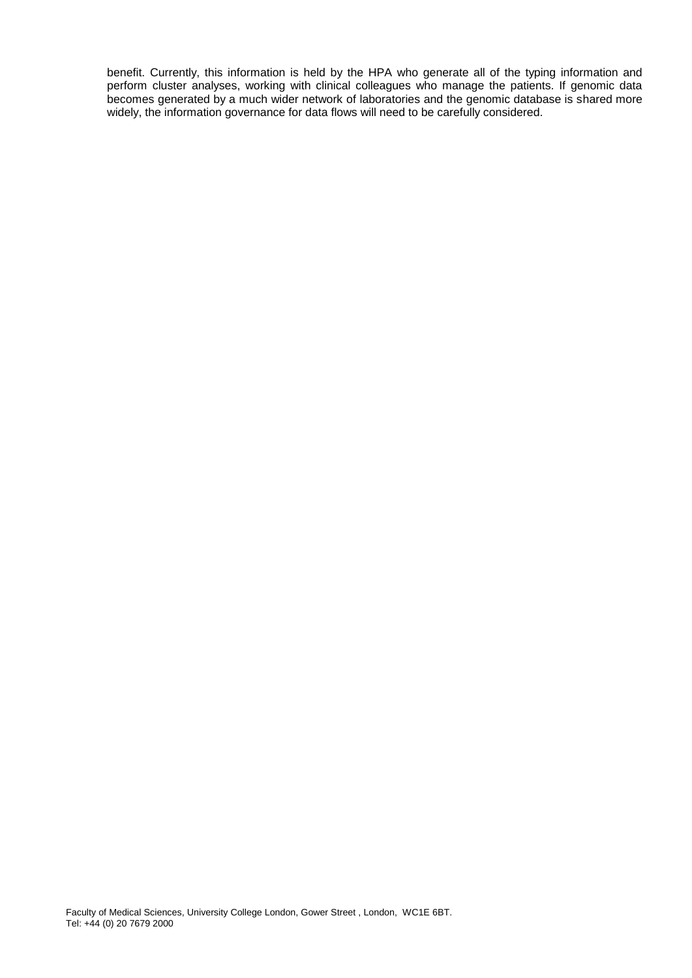benefit. Currently, this information is held by the HPA who generate all of the typing information and perform cluster analyses, working with clinical colleagues who manage the patients. If genomic data becomes generated by a much wider network of laboratories and the genomic database is shared more widely, the information governance for data flows will need to be carefully considered.